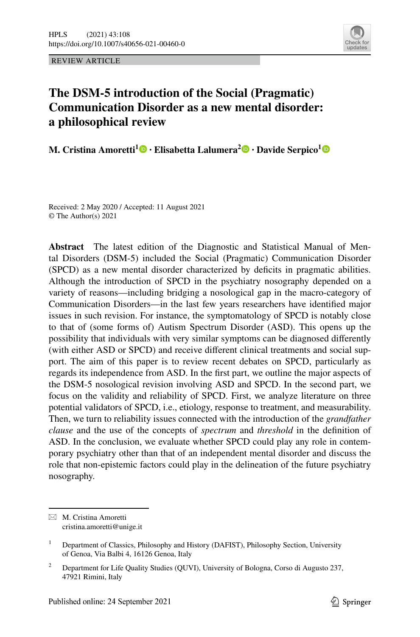



# **The DSM‑5 introduction of the Social (Pragmatic) Communication Disorder as a new mental disorder: a philosophical review**

**M. Cristina Amoretti1 · Elisabetta Lalumera<sup>2</sup> · Davide Serpico[1](http://orcid.org/0000-0003-3997-3056)**

Received: 2 May 2020 / Accepted: 11 August 2021 © The Author(s) 2021

**Abstract** The latest edition of the Diagnostic and Statistical Manual of Mental Disorders (DSM-5) included the Social (Pragmatic) Communication Disorder (SPCD) as a new mental disorder characterized by deficits in pragmatic abilities. Although the introduction of SPCD in the psychiatry nosography depended on a variety of reasons—including bridging a nosological gap in the macro-category of Communication Disorders—in the last few years researchers have identifed major issues in such revision. For instance, the symptomatology of SPCD is notably close to that of (some forms of) Autism Spectrum Disorder (ASD). This opens up the possibility that individuals with very similar symptoms can be diagnosed diferently (with either ASD or SPCD) and receive diferent clinical treatments and social support. The aim of this paper is to review recent debates on SPCD, particularly as regards its independence from ASD. In the frst part, we outline the major aspects of the DSM-5 nosological revision involving ASD and SPCD. In the second part, we focus on the validity and reliability of SPCD. First, we analyze literature on three potential validators of SPCD, i.e., etiology, response to treatment, and measurability. Then, we turn to reliability issues connected with the introduction of the *grandfather clause* and the use of the concepts of *spectrum* and *threshold* in the defnition of ASD. In the conclusion, we evaluate whether SPCD could play any role in contemporary psychiatry other than that of an independent mental disorder and discuss the role that non-epistemic factors could play in the delineation of the future psychiatry nosography.

 $\boxtimes$  M. Cristina Amoretti cristina.amoretti@unige.it

<sup>&</sup>lt;sup>1</sup> Department of Classics, Philosophy and History (DAFIST), Philosophy Section, University of Genoa, Via Balbi 4, 16126 Genoa, Italy

<sup>&</sup>lt;sup>2</sup> Department for Life Quality Studies (QUVI), University of Bologna, Corso di Augusto 237, 47921 Rimini, Italy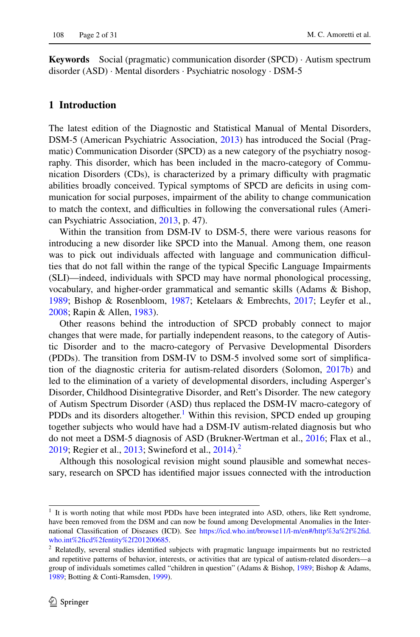**Keywords** Social (pragmatic) communication disorder (SPCD) · Autism spectrum disorder (ASD) · Mental disorders · Psychiatric nosology · DSM-5

## **1 Introduction**

The latest edition of the Diagnostic and Statistical Manual of Mental Disorders, DSM-5 (American Psychiatric Association, [2013\)](#page-25-0) has introduced the Social (Pragmatic) Communication Disorder (SPCD) as a new category of the psychiatry nosography. This disorder, which has been included in the macro-category of Communication Disorders (CDs), is characterized by a primary difculty with pragmatic abilities broadly conceived. Typical symptoms of SPCD are defcits in using communication for social purposes, impairment of the ability to change communication to match the context, and difficulties in following the conversational rules (American Psychiatric Association, [2013](#page-25-0), p. 47).

Within the transition from DSM-IV to DSM-5, there were various reasons for introducing a new disorder like SPCD into the Manual. Among them, one reason was to pick out individuals affected with language and communication difficulties that do not fall within the range of the typical Specifc Language Impairments (SLI)—indeed, individuals with SPCD may have normal phonological processing, vocabulary, and higher-order grammatical and semantic skills (Adams & Bishop, [1989](#page-25-1); Bishop & Rosenbloom, [1987;](#page-26-0) Ketelaars & Embrechts, [2017](#page-28-0); Leyfer et al., [2008](#page-28-1); Rapin & Allen, [1983](#page-29-0)).

Other reasons behind the introduction of SPCD probably connect to major changes that were made, for partially independent reasons, to the category of Autistic Disorder and to the macro-category of Pervasive Developmental Disorders (PDDs). The transition from DSM-IV to DSM-5 involved some sort of simplifcation of the diagnostic criteria for autism-related disorders (Solomon, [2017b](#page-29-1)) and led to the elimination of a variety of developmental disorders, including Asperger's Disorder, Childhood Disintegrative Disorder, and Rett's Disorder. The new category of Autism Spectrum Disorder (ASD) thus replaced the DSM-IV macro-category of PDDs and its disorders altogether.<sup>1</sup> Within this revision, SPCD ended up grouping together subjects who would have had a DSM-IV autism-related diagnosis but who do not meet a DSM-5 diagnosis of ASD (Brukner-Wertman et al., [2016;](#page-26-1) Flax et al., [2019](#page-27-0); Regier et al.,  $2013$  $2013$ ; Swineford et al.,  $2014$ ).<sup>2</sup>

Although this nosological revision might sound plausible and somewhat necessary, research on SPCD has identifed major issues connected with the introduction

<span id="page-1-0"></span><sup>&</sup>lt;sup>1</sup> It is worth noting that while most PDDs have been integrated into ASD, others, like Rett syndrome, have been removed from the DSM and can now be found among Developmental Anomalies in the International Classifcation of Diseases (ICD). See [https://icd.who.int/browse11/l-m/en#/http%3a%2f%2fd.](https://icd.who.int/browse11/l-m/en#/http%3a%2f%2fid.who.int%2ficd%2fentity%2f201200685) [who.int%2fcd%2fentity%2f201200685](https://icd.who.int/browse11/l-m/en#/http%3a%2f%2fid.who.int%2ficd%2fentity%2f201200685).

<span id="page-1-1"></span><sup>&</sup>lt;sup>2</sup> Relatedly, several studies identified subjects with pragmatic language impairments but no restricted and repetitive patterns of behavior, interests, or activities that are typical of autism-related disorders—a group of individuals sometimes called "children in question" (Adams & Bishop, [1989](#page-25-1); Bishop & Adams, [1989](#page-26-2); Botting & Conti-Ramsden, [1999\)](#page-26-3).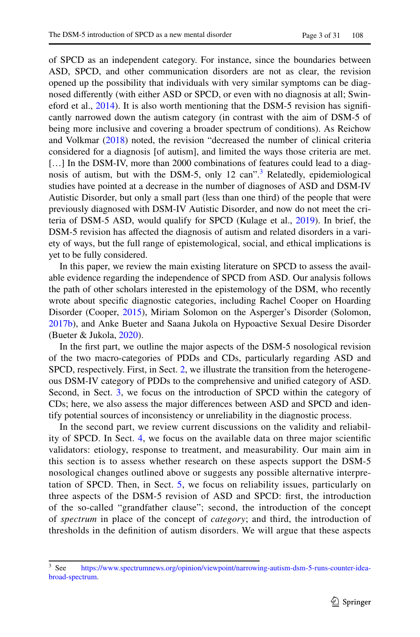of SPCD as an independent category. For instance, since the boundaries between ASD, SPCD, and other communication disorders are not as clear, the revision opened up the possibility that individuals with very similar symptoms can be diagnosed diferently (with either ASD or SPCD, or even with no diagnosis at all; Swineford et al., [2014](#page-29-3)). It is also worth mentioning that the DSM-5 revision has signifcantly narrowed down the autism category (in contrast with the aim of DSM-5 of being more inclusive and covering a broader spectrum of conditions). As Reichow and Volkmar ([2018\)](#page-29-4) noted, the revision "decreased the number of clinical criteria considered for a diagnosis [of autism], and limited the ways those criteria are met. [...] In the DSM-IV, more than 2000 combinations of features could lead to a diag-nosis of autism, but with the DSM-5, only 12 can".<sup>[3](#page-2-0)</sup> Relatedly, epidemiological studies have pointed at a decrease in the number of diagnoses of ASD and DSM-IV Autistic Disorder, but only a small part (less than one third) of the people that were previously diagnosed with DSM-IV Autistic Disorder, and now do not meet the criteria of DSM-5 ASD, would qualify for SPCD (Kulage et al., [2019\)](#page-28-2). In brief, the DSM-5 revision has afected the diagnosis of autism and related disorders in a variety of ways, but the full range of epistemological, social, and ethical implications is yet to be fully considered.

In this paper, we review the main existing literature on SPCD to assess the available evidence regarding the independence of SPCD from ASD. Our analysis follows the path of other scholars interested in the epistemology of the DSM, who recently wrote about specifc diagnostic categories, including Rachel Cooper on Hoarding Disorder (Cooper, [2015](#page-27-1)), Miriam Solomon on the Asperger's Disorder (Solomon, [2017b](#page-29-1)), and Anke Bueter and Saana Jukola on Hypoactive Sexual Desire Disorder (Bueter & Jukola, [2020](#page-26-4)).

In the frst part, we outline the major aspects of the DSM-5 nosological revision of the two macro-categories of PDDs and CDs, particularly regarding ASD and SPCD, respectively. First, in Sect. [2,](#page-3-0) we illustrate the transition from the heterogeneous DSM-IV category of PDDs to the comprehensive and unifed category of ASD. Second, in Sect. [3,](#page-7-0) we focus on the introduction of SPCD within the category of CDs; here, we also assess the major diferences between ASD and SPCD and identify potential sources of inconsistency or unreliability in the diagnostic process.

In the second part, we review current discussions on the validity and reliability of SPCD. In Sect. [4,](#page-9-0) we focus on the available data on three major scientifc validators: etiology, response to treatment, and measurability. Our main aim in this section is to assess whether research on these aspects support the DSM-5 nosological changes outlined above or suggests any possible alternative interpretation of SPCD. Then, in Sect. [5,](#page-15-0) we focus on reliability issues, particularly on three aspects of the DSM-5 revision of ASD and SPCD: frst, the introduction of the so-called "grandfather clause"; second, the introduction of the concept of *spectrum* in place of the concept of *category*; and third, the introduction of thresholds in the defnition of autism disorders. We will argue that these aspects

<span id="page-2-0"></span><sup>&</sup>lt;sup>3</sup> See [https://www.spectrumnews.org/opinion/viewpoint/narrowing-autism-dsm-5-runs-counter-idea](https://www.spectrumnews.org/opinion/viewpoint/narrowing-autism-dsm-5-runs-counter-idea-broad-spectrum)[broad-spectrum](https://www.spectrumnews.org/opinion/viewpoint/narrowing-autism-dsm-5-runs-counter-idea-broad-spectrum).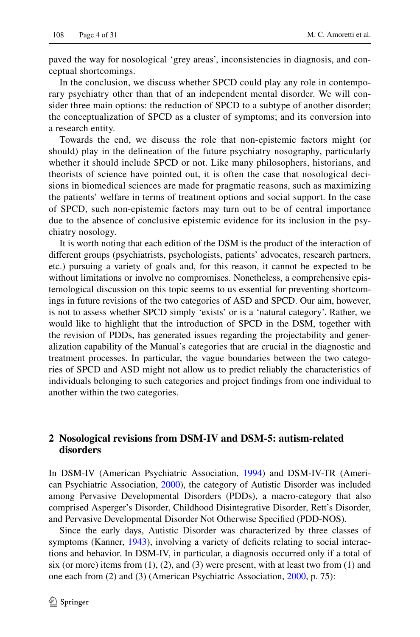paved the way for nosological 'grey areas', inconsistencies in diagnosis, and conceptual shortcomings.

In the conclusion, we discuss whether SPCD could play any role in contemporary psychiatry other than that of an independent mental disorder. We will consider three main options: the reduction of SPCD to a subtype of another disorder; the conceptualization of SPCD as a cluster of symptoms; and its conversion into a research entity.

Towards the end, we discuss the role that non-epistemic factors might (or should) play in the delineation of the future psychiatry nosography, particularly whether it should include SPCD or not. Like many philosophers, historians, and theorists of science have pointed out, it is often the case that nosological decisions in biomedical sciences are made for pragmatic reasons, such as maximizing the patients' welfare in terms of treatment options and social support. In the case of SPCD, such non-epistemic factors may turn out to be of central importance due to the absence of conclusive epistemic evidence for its inclusion in the psychiatry nosology.

It is worth noting that each edition of the DSM is the product of the interaction of diferent groups (psychiatrists, psychologists, patients' advocates, research partners, etc.) pursuing a variety of goals and, for this reason, it cannot be expected to be without limitations or involve no compromises. Nonetheless, a comprehensive epistemological discussion on this topic seems to us essential for preventing shortcomings in future revisions of the two categories of ASD and SPCD. Our aim, however, is not to assess whether SPCD simply 'exists' or is a 'natural category'. Rather, we would like to highlight that the introduction of SPCD in the DSM, together with the revision of PDDs, has generated issues regarding the projectability and generalization capability of the Manual's categories that are crucial in the diagnostic and treatment processes. In particular, the vague boundaries between the two categories of SPCD and ASD might not allow us to predict reliably the characteristics of individuals belonging to such categories and project fndings from one individual to another within the two categories.

## <span id="page-3-0"></span>**2 Nosological revisions from DSM‑IV and DSM‑5: autism‑related disorders**

In DSM-IV (American Psychiatric Association, [1994](#page-25-2)) and DSM-IV-TR (American Psychiatric Association, [2000\)](#page-25-3), the category of Autistic Disorder was included among Pervasive Developmental Disorders (PDDs), a macro-category that also comprised Asperger's Disorder, Childhood Disintegrative Disorder, Rett's Disorder, and Pervasive Developmental Disorder Not Otherwise Specifed (PDD-NOS).

Since the early days, Autistic Disorder was characterized by three classes of symptoms (Kanner, [1943\)](#page-27-2), involving a variety of deficits relating to social interactions and behavior. In DSM-IV, in particular, a diagnosis occurred only if a total of six (or more) items from  $(1)$ ,  $(2)$ , and  $(3)$  were present, with at least two from  $(1)$  and one each from (2) and (3) (American Psychiatric Association, [2000](#page-25-3), p. 75):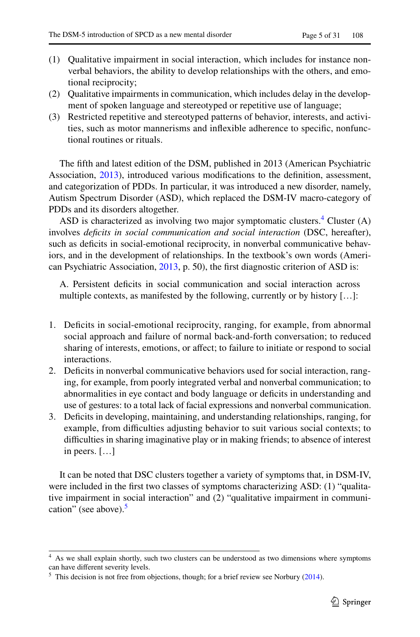- (1) Qualitative impairment in social interaction, which includes for instance nonverbal behaviors, the ability to develop relationships with the others, and emotional reciprocity;
- (2) Qualitative impairments in communication, which includes delay in the development of spoken language and stereotyped or repetitive use of language;
- (3) Restricted repetitive and stereotyped patterns of behavior, interests, and activities, such as motor mannerisms and infexible adherence to specifc, nonfunctional routines or rituals.

The ffth and latest edition of the DSM, published in 2013 (American Psychiatric Association, [2013](#page-25-0)), introduced various modifcations to the defnition, assessment, and categorization of PDDs. In particular, it was introduced a new disorder, namely, Autism Spectrum Disorder (ASD), which replaced the DSM-IV macro-category of PDDs and its disorders altogether.

ASD is characterized as involving two major symptomatic clusters.<sup>[4](#page-4-0)</sup> Cluster (A) involves *defcits in social communication and social interaction* (DSC, hereafter), such as defcits in social-emotional reciprocity, in nonverbal communicative behaviors, and in the development of relationships. In the textbook's own words (American Psychiatric Association, [2013](#page-25-0), p. 50), the frst diagnostic criterion of ASD is:

A. Persistent deficits in social communication and social interaction across multiple contexts, as manifested by the following, currently or by history […]:

- 1. Defcits in social-emotional reciprocity, ranging, for example, from abnormal social approach and failure of normal back-and-forth conversation; to reduced sharing of interests, emotions, or afect; to failure to initiate or respond to social interactions.
- 2. Defcits in nonverbal communicative behaviors used for social interaction, ranging, for example, from poorly integrated verbal and nonverbal communication; to abnormalities in eye contact and body language or deficits in understanding and use of gestures: to a total lack of facial expressions and nonverbal communication.
- 3. Defcits in developing, maintaining, and understanding relationships, ranging, for example, from difficulties adjusting behavior to suit various social contexts; to difficulties in sharing imaginative play or in making friends; to absence of interest in peers. […]

It can be noted that DSC clusters together a variety of symptoms that, in DSM-IV, were included in the first two classes of symptoms characterizing ASD: (1) "qualitative impairment in social interaction" and (2) "qualitative impairment in communi-cation" (see above).<sup>[5](#page-4-1)</sup>

<span id="page-4-0"></span><sup>&</sup>lt;sup>4</sup> As we shall explain shortly, such two clusters can be understood as two dimensions where symptoms can have diferent severity levels.

<span id="page-4-1"></span> $5$  This decision is not free from objections, though; for a brief review see Norbury ([2014\)](#page-28-3).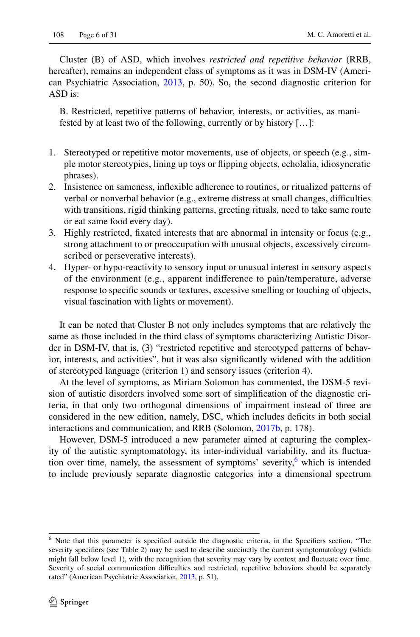Cluster (B) of ASD, which involves *restricted and repetitive behavior* (RRB, hereafter), remains an independent class of symptoms as it was in DSM-IV (American Psychiatric Association, [2013,](#page-25-0) p. 50). So, the second diagnostic criterion for ASD is:

B. Restricted, repetitive patterns of behavior, interests, or activities, as manifested by at least two of the following, currently or by history […]:

- 1. Stereotyped or repetitive motor movements, use of objects, or speech (e.g., simple motor stereotypies, lining up toys or fipping objects, echolalia, idiosyncratic phrases).
- 2. Insistence on sameness, infexible adherence to routines, or ritualized patterns of verbal or nonverbal behavior (e.g., extreme distress at small changes, difficulties with transitions, rigid thinking patterns, greeting rituals, need to take same route or eat same food every day).
- 3. Highly restricted, fxated interests that are abnormal in intensity or focus (e.g., strong attachment to or preoccupation with unusual objects, excessively circumscribed or perseverative interests).
- 4. Hyper- or hypo-reactivity to sensory input or unusual interest in sensory aspects of the environment (e.g., apparent indiference to pain/temperature, adverse response to specifc sounds or textures, excessive smelling or touching of objects, visual fascination with lights or movement).

It can be noted that Cluster B not only includes symptoms that are relatively the same as those included in the third class of symptoms characterizing Autistic Disorder in DSM-IV, that is, (3) "restricted repetitive and stereotyped patterns of behavior, interests, and activities", but it was also signifcantly widened with the addition of stereotyped language (criterion 1) and sensory issues (criterion 4).

At the level of symptoms, as Miriam Solomon has commented, the DSM-5 revision of autistic disorders involved some sort of simplifcation of the diagnostic criteria, in that only two orthogonal dimensions of impairment instead of three are considered in the new edition, namely, DSC, which includes defcits in both social interactions and communication, and RRB (Solomon, [2017b](#page-29-1), p. 178).

However, DSM-5 introduced a new parameter aimed at capturing the complexity of the autistic symptomatology, its inter-individual variability, and its fuctuation over time, namely, the assessment of symptoms' severity, $6$  which is intended to include previously separate diagnostic categories into a dimensional spectrum

<span id="page-5-0"></span><sup>6</sup> Note that this parameter is specifed outside the diagnostic criteria, in the Specifers section. "The severity specifiers (see Table 2) may be used to describe succinctly the current symptomatology (which might fall below level 1), with the recognition that severity may vary by context and fuctuate over time. Severity of social communication difficulties and restricted, repetitive behaviors should be separately rated" (American Psychiatric Association, [2013](#page-25-0), p. 51).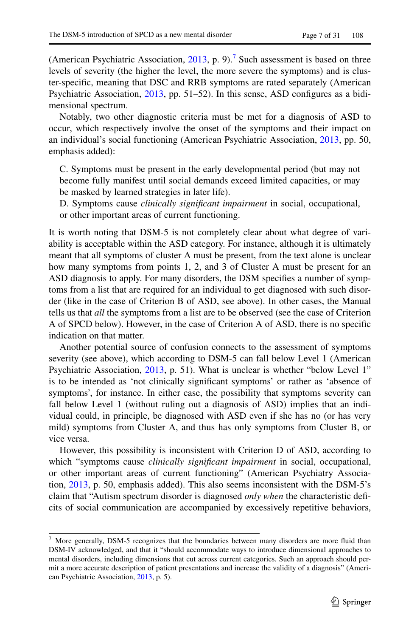(American Psychiatric Association,  $2013$ , p. 9).<sup>[7](#page-6-0)</sup> Such assessment is based on three levels of severity (the higher the level, the more severe the symptoms) and is cluster-specifc, meaning that DSC and RRB symptoms are rated separately (American Psychiatric Association, [2013](#page-25-0), pp. 51–52). In this sense, ASD confgures as a bidimensional spectrum.

Notably, two other diagnostic criteria must be met for a diagnosis of ASD to occur, which respectively involve the onset of the symptoms and their impact on an individual's social functioning (American Psychiatric Association, [2013,](#page-25-0) pp. 50, emphasis added):

C. Symptoms must be present in the early developmental period (but may not become fully manifest until social demands exceed limited capacities, or may be masked by learned strategies in later life).

D. Symptoms cause *clinically signifcant impairment* in social, occupational, or other important areas of current functioning.

It is worth noting that DSM-5 is not completely clear about what degree of variability is acceptable within the ASD category. For instance, although it is ultimately meant that all symptoms of cluster A must be present, from the text alone is unclear how many symptoms from points 1, 2, and 3 of Cluster A must be present for an ASD diagnosis to apply. For many disorders, the DSM specifes a number of symptoms from a list that are required for an individual to get diagnosed with such disorder (like in the case of Criterion B of ASD, see above). In other cases, the Manual tells us that *all* the symptoms from a list are to be observed (see the case of Criterion A of SPCD below). However, in the case of Criterion A of ASD, there is no specifc indication on that matter.

Another potential source of confusion connects to the assessment of symptoms severity (see above), which according to DSM-5 can fall below Level 1 (American Psychiatric Association, [2013,](#page-25-0) p. 51). What is unclear is whether "below Level 1" is to be intended as 'not clinically signifcant symptoms' or rather as 'absence of symptoms', for instance. In either case, the possibility that symptoms severity can fall below Level 1 (without ruling out a diagnosis of ASD) implies that an individual could, in principle, be diagnosed with ASD even if she has no (or has very mild) symptoms from Cluster A, and thus has only symptoms from Cluster B, or vice versa.

However, this possibility is inconsistent with Criterion D of ASD, according to which "symptoms cause *clinically signifcant impairment* in social, occupational, or other important areas of current functioning" (American Psychiatry Association, [2013](#page-25-0), p. 50, emphasis added). This also seems inconsistent with the DSM-5's claim that "Autism spectrum disorder is diagnosed *only when* the characteristic defcits of social communication are accompanied by excessively repetitive behaviors,

<span id="page-6-0"></span><sup>7</sup> More generally, DSM-5 recognizes that the boundaries between many disorders are more fuid than DSM-IV acknowledged, and that it "should accommodate ways to introduce dimensional approaches to mental disorders, including dimensions that cut across current categories. Such an approach should permit a more accurate description of patient presentations and increase the validity of a diagnosis" (American Psychiatric Association, [2013](#page-25-0), p. 5).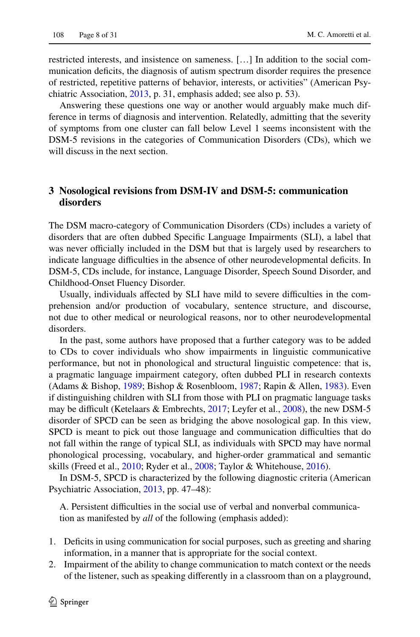restricted interests, and insistence on sameness. […] In addition to the social communication defcits, the diagnosis of autism spectrum disorder requires the presence of restricted, repetitive patterns of behavior, interests, or activities" (American Psychiatric Association, [2013,](#page-25-0) p. 31, emphasis added; see also p. 53).

Answering these questions one way or another would arguably make much difference in terms of diagnosis and intervention. Relatedly, admitting that the severity of symptoms from one cluster can fall below Level 1 seems inconsistent with the DSM-5 revisions in the categories of Communication Disorders (CDs), which we will discuss in the next section.

## <span id="page-7-0"></span>**3 Nosological revisions from DSM‑IV and DSM‑5: communication disorders**

The DSM macro-category of Communication Disorders (CDs) includes a variety of disorders that are often dubbed Specifc Language Impairments (SLI), a label that was never officially included in the DSM but that is largely used by researchers to indicate language difficulties in the absence of other neurodevelopmental deficits. In DSM-5, CDs include, for instance, Language Disorder, Speech Sound Disorder, and Childhood-Onset Fluency Disorder.

Usually, individuals affected by SLI have mild to severe difficulties in the comprehension and/or production of vocabulary, sentence structure, and discourse, not due to other medical or neurological reasons, nor to other neurodevelopmental disorders.

In the past, some authors have proposed that a further category was to be added to CDs to cover individuals who show impairments in linguistic communicative performance, but not in phonological and structural linguistic competence: that is, a pragmatic language impairment category, often dubbed PLI in research contexts (Adams & Bishop, [1989;](#page-25-1) Bishop & Rosenbloom, [1987](#page-26-0); Rapin & Allen, [1983\)](#page-29-0). Even if distinguishing children with SLI from those with PLI on pragmatic language tasks may be difficult (Ketelaars & Embrechts,  $2017$ ; Leyfer et al.,  $2008$ ), the new DSM-5 disorder of SPCD can be seen as bridging the above nosological gap. In this view, SPCD is meant to pick out those language and communication difficulties that do not fall within the range of typical SLI, as individuals with SPCD may have normal phonological processing, vocabulary, and higher-order grammatical and semantic skills (Freed et al., [2010;](#page-27-3) Ryder et al., [2008;](#page-29-5) Taylor & Whitehouse, [2016](#page-29-6)).

In DSM-5, SPCD is characterized by the following diagnostic criteria (American Psychiatric Association, [2013](#page-25-0), pp. 47–48):

A. Persistent difficulties in the social use of verbal and nonverbal communication as manifested by *all* of the following (emphasis added):

- 1. Defcits in using communication for social purposes, such as greeting and sharing information, in a manner that is appropriate for the social context.
- 2. Impairment of the ability to change communication to match context or the needs of the listener, such as speaking diferently in a classroom than on a playground,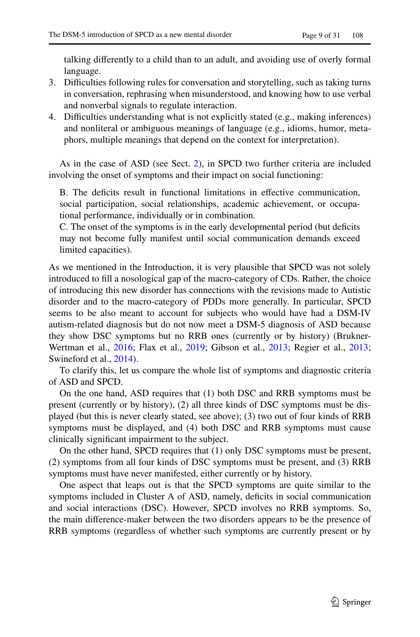talking diferently to a child than to an adult, and avoiding use of overly formal language.

- 3. Difculties following rules for conversation and storytelling, such as taking turns in conversation, rephrasing when misunderstood, and knowing how to use verbal and nonverbal signals to regulate interaction.
- 4. Difficulties understanding what is not explicitly stated (e.g., making inferences) and nonliteral or ambiguous meanings of language (e.g., idioms, humor, metaphors, multiple meanings that depend on the context for interpretation).

As in the case of ASD (see Sect. [2\)](#page-3-0), in SPCD two further criteria are included involving the onset of symptoms and their impact on social functioning:

B. The defcits result in functional limitations in efective communication, social participation, social relationships, academic achievement, or occupational performance, individually or in combination.

C. The onset of the symptoms is in the early developmental period (but deficits may not become fully manifest until social communication demands exceed limited capacities).

As we mentioned in the Introduction, it is very plausible that SPCD was not solely introduced to fll a nosological gap of the macro-category of CDs. Rather, the choice of introducing this new disorder has connections with the revisions made to Autistic disorder and to the macro-category of PDDs more generally. In particular, SPCD seems to be also meant to account for subjects who would have had a DSM-IV autism-related diagnosis but do not now meet a DSM-5 diagnosis of ASD because they show DSC symptoms but no RRB ones (currently or by history) (Brukner-Wertman et al., [2016;](#page-26-1) Flax et al., [2019;](#page-27-0) Gibson et al., [2013](#page-27-4); Regier et al., [2013;](#page-29-2) Swineford et al., [2014](#page-29-3)).

To clarify this, let us compare the whole list of symptoms and diagnostic criteria of ASD and SPCD.

On the one hand, ASD requires that (1) both DSC and RRB symptoms must be present (currently or by history), (2) all three kinds of DSC symptoms must be displayed (but this is never clearly stated, see above); (3) two out of four kinds of RRB symptoms must be displayed, and (4) both DSC and RRB symptoms must cause clinically signifcant impairment to the subject.

On the other hand, SPCD requires that (1) only DSC symptoms must be present, (2) symptoms from all four kinds of DSC symptoms must be present, and (3) RRB symptoms must have never manifested, either currently or by history.

One aspect that leaps out is that the SPCD symptoms are quite similar to the symptoms included in Cluster A of ASD, namely, deficits in social communication and social interactions (DSC). However, SPCD involves no RRB symptoms. So, the main diference-maker between the two disorders appears to be the presence of RRB symptoms (regardless of whether such symptoms are currently present or by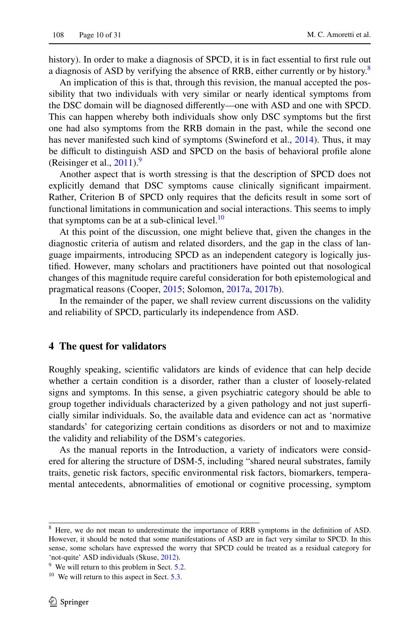history). In order to make a diagnosis of SPCD, it is in fact essential to first rule out a diagnosis of ASD by verifying the absence of RRB, either currently or by history.<sup>[8](#page-9-1)</sup>

An implication of this is that, through this revision, the manual accepted the possibility that two individuals with very similar or nearly identical symptoms from the DSC domain will be diagnosed diferently—one with ASD and one with SPCD. This can happen whereby both individuals show only DSC symptoms but the frst one had also symptoms from the RRB domain in the past, while the second one has never manifested such kind of symptoms (Swineford et al., [2014\)](#page-29-3). Thus, it may be difficult to distinguish ASD and SPCD on the basis of behavioral profile alone (Reisinger et al.,  $2011$ ).<sup>[9](#page-9-2)</sup>

Another aspect that is worth stressing is that the description of SPCD does not explicitly demand that DSC symptoms cause clinically signifcant impairment. Rather, Criterion B of SPCD only requires that the defcits result in some sort of functional limitations in communication and social interactions. This seems to imply that symptoms can be at a sub-clinical level. $10$ 

At this point of the discussion, one might believe that, given the changes in the diagnostic criteria of autism and related disorders, and the gap in the class of language impairments, introducing SPCD as an independent category is logically justifed. However, many scholars and practitioners have pointed out that nosological changes of this magnitude require careful consideration for both epistemological and pragmatical reasons (Cooper, [2015;](#page-27-1) Solomon, [2017a,](#page-29-8) [2017b\)](#page-29-1).

In the remainder of the paper, we shall review current discussions on the validity and reliability of SPCD, particularly its independence from ASD.

## <span id="page-9-0"></span>**4 The quest for validators**

Roughly speaking, scientifc validators are kinds of evidence that can help decide whether a certain condition is a disorder, rather than a cluster of loosely-related signs and symptoms. In this sense, a given psychiatric category should be able to group together individuals characterized by a given pathology and not just superfcially similar individuals. So, the available data and evidence can act as 'normative standards' for categorizing certain conditions as disorders or not and to maximize the validity and reliability of the DSM's categories.

As the manual reports in the Introduction, a variety of indicators were considered for altering the structure of DSM-5, including "shared neural substrates, family traits, genetic risk factors, specifc environmental risk factors, biomarkers, temperamental antecedents, abnormalities of emotional or cognitive processing, symptom

<span id="page-9-1"></span><sup>&</sup>lt;sup>8</sup> Here, we do not mean to underestimate the importance of RRB symptoms in the definition of ASD. However, it should be noted that some manifestations of ASD are in fact very similar to SPCD. In this sense, some scholars have expressed the worry that SPCD could be treated as a residual category for 'not-quite' ASD individuals (Skuse, [2012](#page-29-9)).

<span id="page-9-2"></span> $9$  We will return to this problem in Sect.  $5.2$ .

<span id="page-9-3"></span> $10$  We will return to this aspect in Sect. [5.3.](#page-19-0)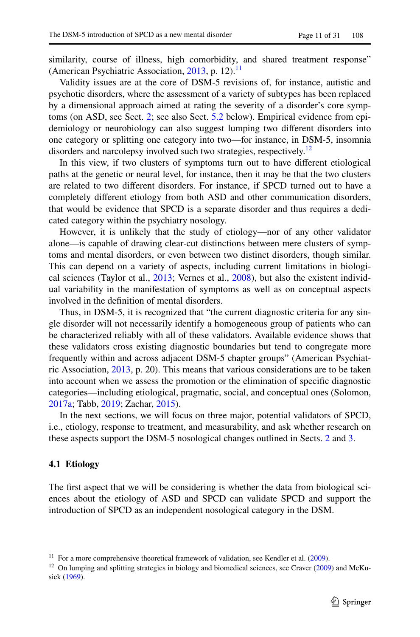similarity, course of illness, high comorbidity, and shared treatment response" (American Psychiatric Association, [2013,](#page-25-0) p. 12).<sup>11</sup>

Validity issues are at the core of DSM-5 revisions of, for instance, autistic and psychotic disorders, where the assessment of a variety of subtypes has been replaced by a dimensional approach aimed at rating the severity of a disorder's core symptoms (on ASD, see Sect. [2](#page-3-0); see also Sect. [5.2](#page-17-0) below). Empirical evidence from epidemiology or neurobiology can also suggest lumping two diferent disorders into one category or splitting one category into two—for instance, in DSM-5, insomnia disorders and narcolepsy involved such two strategies, respectively.<sup>[12](#page-10-1)</sup>

In this view, if two clusters of symptoms turn out to have diferent etiological paths at the genetic or neural level, for instance, then it may be that the two clusters are related to two diferent disorders. For instance, if SPCD turned out to have a completely diferent etiology from both ASD and other communication disorders, that would be evidence that SPCD is a separate disorder and thus requires a dedicated category within the psychiatry nosology.

However, it is unlikely that the study of etiology—nor of any other validator alone—is capable of drawing clear-cut distinctions between mere clusters of symptoms and mental disorders, or even between two distinct disorders, though similar. This can depend on a variety of aspects, including current limitations in biological sciences (Taylor et al., [2013](#page-29-10); Vernes et al., [2008\)](#page-30-0), but also the existent individual variability in the manifestation of symptoms as well as on conceptual aspects involved in the defnition of mental disorders.

Thus, in DSM-5, it is recognized that "the current diagnostic criteria for any single disorder will not necessarily identify a homogeneous group of patients who can be characterized reliably with all of these validators. Available evidence shows that these validators cross existing diagnostic boundaries but tend to congregate more frequently within and across adjacent DSM-5 chapter groups" (American Psychiatric Association, [2013,](#page-25-0) p. 20). This means that various considerations are to be taken into account when we assess the promotion or the elimination of specifc diagnostic categories—including etiological, pragmatic, social, and conceptual ones (Solomon, [2017a](#page-29-8); Tabb, [2019;](#page-29-11) Zachar, [2015\)](#page-30-1).

In the next sections, we will focus on three major, potential validators of SPCD, i.e., etiology, response to treatment, and measurability, and ask whether research on these aspects support the DSM-5 nosological changes outlined in Sects. [2](#page-3-0) and [3.](#page-7-0)

## <span id="page-10-2"></span>**4.1 Etiology**

The frst aspect that we will be considering is whether the data from biological sciences about the etiology of ASD and SPCD can validate SPCD and support the introduction of SPCD as an independent nosological category in the DSM.

<span id="page-10-0"></span><sup>&</sup>lt;sup>11</sup> For a more comprehensive theoretical framework of validation, see Kendler et al.  $(2009)$  $(2009)$ .

<span id="page-10-1"></span><sup>&</sup>lt;sup>12</sup> On lumping and splitting strategies in biology and biomedical sciences, see Craver ([2009\)](#page-27-5) and McKusick [\(1969](#page-28-5)).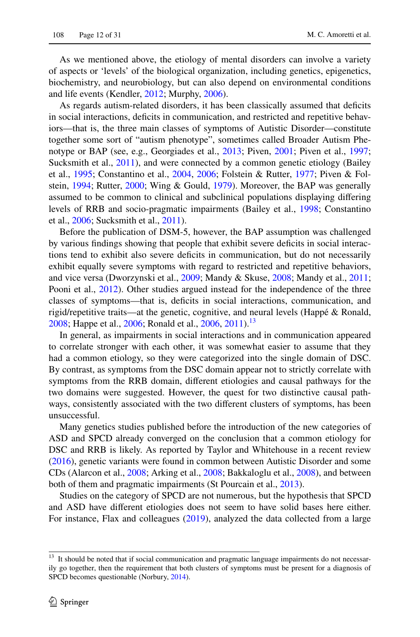As we mentioned above, the etiology of mental disorders can involve a variety of aspects or 'levels' of the biological organization, including genetics, epigenetics, biochemistry, and neurobiology, but can also depend on environmental conditions and life events (Kendler, [2012](#page-27-6); Murphy, [2006](#page-28-6)).

As regards autism-related disorders, it has been classically assumed that deficits in social interactions, defcits in communication, and restricted and repetitive behaviors—that is, the three main classes of symptoms of Autistic Disorder—constitute together some sort of "autism phenotype", sometimes called Broader Autism Phenotype or BAP (see, e.g., Georgiades et al., [2013;](#page-27-7) Piven, [2001](#page-28-7); Piven et al., [1997;](#page-28-8) Sucksmith et al., [2011\)](#page-29-12), and were connected by a common genetic etiology (Bailey et al., [1995;](#page-26-5) Constantino et al., [2004](#page-26-6), [2006](#page-27-8); Folstein & Rutter, [1977;](#page-27-9) Piven & Folstein, [1994](#page-28-9); Rutter, [2000](#page-29-13); Wing & Gould, [1979](#page-30-2)). Moreover, the BAP was generally assumed to be common to clinical and subclinical populations displaying difering levels of RRB and socio-pragmatic impairments (Bailey et al., [1998](#page-26-7); Constantino et al., [2006](#page-27-8); Sucksmith et al., [2011\)](#page-29-12).

Before the publication of DSM-5, however, the BAP assumption was challenged by various fndings showing that people that exhibit severe defcits in social interactions tend to exhibit also severe defcits in communication, but do not necessarily exhibit equally severe symptoms with regard to restricted and repetitive behaviors, and vice versa (Dworzynski et al., [2009](#page-27-10); Mandy & Skuse, [2008](#page-28-10); Mandy et al., [2011;](#page-28-11) Pooni et al., [2012\)](#page-29-14). Other studies argued instead for the independence of the three classes of symptoms—that is, defcits in social interactions, communication, and rigid/repetitive traits—at the genetic, cognitive, and neural levels (Happé & Ronald, [2008](#page-27-11); Happe et al., [2006](#page-29-15); Ronald et al., 2006, [2011](#page-29-16)).<sup>[13](#page-11-0)</sup>

In general, as impairments in social interactions and in communication appeared to correlate stronger with each other, it was somewhat easier to assume that they had a common etiology, so they were categorized into the single domain of DSC. By contrast, as symptoms from the DSC domain appear not to strictly correlate with symptoms from the RRB domain, diferent etiologies and causal pathways for the two domains were suggested. However, the quest for two distinctive causal pathways, consistently associated with the two diferent clusters of symptoms, has been unsuccessful.

Many genetics studies published before the introduction of the new categories of ASD and SPCD already converged on the conclusion that a common etiology for DSC and RRB is likely. As reported by Taylor and Whitehouse in a recent review [\(2016](#page-29-6)), genetic variants were found in common between Autistic Disorder and some CDs (Alarcon et al., [2008](#page-25-4); Arking et al., [2008;](#page-25-5) Bakkaloglu et al., [2008](#page-26-8)), and between both of them and pragmatic impairments (St Pourcain et al., [2013](#page-29-17)).

Studies on the category of SPCD are not numerous, but the hypothesis that SPCD and ASD have diferent etiologies does not seem to have solid bases here either. For instance, Flax and colleagues ([2019\)](#page-27-0), analyzed the data collected from a large

<span id="page-11-0"></span><sup>&</sup>lt;sup>13</sup> It should be noted that if social communication and pragmatic language impairments do not necessarily go together, then the requirement that both clusters of symptoms must be present for a diagnosis of SPCD becomes questionable (Norbury, [2014\)](#page-28-3).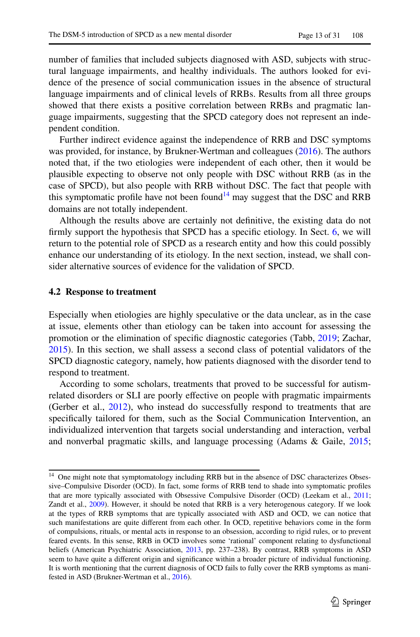number of families that included subjects diagnosed with ASD, subjects with structural language impairments, and healthy individuals. The authors looked for evidence of the presence of social communication issues in the absence of structural language impairments and of clinical levels of RRBs. Results from all three groups showed that there exists a positive correlation between RRBs and pragmatic language impairments, suggesting that the SPCD category does not represent an independent condition.

Further indirect evidence against the independence of RRB and DSC symptoms was provided, for instance, by Brukner-Wertman and colleagues ([2016\)](#page-26-1). The authors noted that, if the two etiologies were independent of each other, then it would be plausible expecting to observe not only people with DSC without RRB (as in the case of SPCD), but also people with RRB without DSC. The fact that people with this symptomatic profile have not been found<sup>[14](#page-12-0)</sup> may suggest that the DSC and RRB domains are not totally independent.

Although the results above are certainly not defnitive, the existing data do not firmly support the hypothesis that SPCD has a specific etiology. In Sect. [6,](#page-21-0) we will return to the potential role of SPCD as a research entity and how this could possibly enhance our understanding of its etiology. In the next section, instead, we shall consider alternative sources of evidence for the validation of SPCD.

#### **4.2 Response to treatment**

Especially when etiologies are highly speculative or the data unclear, as in the case at issue, elements other than etiology can be taken into account for assessing the promotion or the elimination of specifc diagnostic categories (Tabb, [2019;](#page-29-11) Zachar, [2015](#page-30-1)). In this section, we shall assess a second class of potential validators of the SPCD diagnostic category, namely, how patients diagnosed with the disorder tend to respond to treatment.

According to some scholars, treatments that proved to be successful for autismrelated disorders or SLI are poorly efective on people with pragmatic impairments (Gerber et al., [2012\)](#page-27-13), who instead do successfully respond to treatments that are specifcally tailored for them, such as the Social Communication Intervention, an individualized intervention that targets social understanding and interaction, verbal and nonverbal pragmatic skills, and language processing (Adams & Gaile, [2015;](#page-25-6)

<span id="page-12-0"></span><sup>&</sup>lt;sup>14</sup> One might note that symptomatology including RRB but in the absence of DSC characterizes Obsessive–Compulsive Disorder (OCD). In fact, some forms of RRB tend to shade into symptomatic profles that are more typically associated with Obsessive Compulsive Disorder (OCD) (Leekam et al., [2011](#page-28-12); Zandt et al., [2009](#page-30-3)). However, it should be noted that RRB is a very heterogenous category. If we look at the types of RRB symptoms that are typically associated with ASD and OCD, we can notice that such manifestations are quite diferent from each other. In OCD, repetitive behaviors come in the form of compulsions, rituals, or mental acts in response to an obsession, according to rigid rules, or to prevent feared events. In this sense, RRB in OCD involves some 'rational' component relating to dysfunctional beliefs (American Psychiatric Association, [2013,](#page-25-0) pp. 237–238). By contrast, RRB symptoms in ASD seem to have quite a diferent origin and signifcance within a broader picture of individual functioning. It is worth mentioning that the current diagnosis of OCD fails to fully cover the RRB symptoms as manifested in ASD (Brukner-Wertman et al., [2016](#page-26-1)).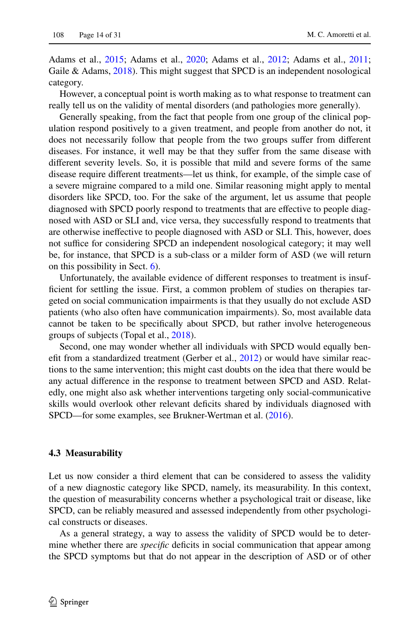Adams et al., [2015;](#page-25-7) Adams et al., [2020](#page-25-8); Adams et al., [2012](#page-25-9); Adams et al., [2011;](#page-25-10) Gaile & Adams, [2018](#page-27-14)). This might suggest that SPCD is an independent nosological category.

However, a conceptual point is worth making as to what response to treatment can really tell us on the validity of mental disorders (and pathologies more generally).

Generally speaking, from the fact that people from one group of the clinical population respond positively to a given treatment, and people from another do not, it does not necessarily follow that people from the two groups sufer from diferent diseases. For instance, it well may be that they sufer from the same disease with diferent severity levels. So, it is possible that mild and severe forms of the same disease require diferent treatments—let us think, for example, of the simple case of a severe migraine compared to a mild one. Similar reasoning might apply to mental disorders like SPCD, too. For the sake of the argument, let us assume that people diagnosed with SPCD poorly respond to treatments that are efective to people diagnosed with ASD or SLI and, vice versa, they successfully respond to treatments that are otherwise inefective to people diagnosed with ASD or SLI. This, however, does not suffice for considering SPCD an independent nosological category; it may well be, for instance, that SPCD is a sub-class or a milder form of ASD (we will return on this possibility in Sect. [6](#page-21-0)).

Unfortunately, the available evidence of diferent responses to treatment is insufficient for settling the issue. First, a common problem of studies on therapies targeted on social communication impairments is that they usually do not exclude ASD patients (who also often have communication impairments). So, most available data cannot be taken to be specifcally about SPCD, but rather involve heterogeneous groups of subjects (Topal et al., [2018\)](#page-29-18).

Second, one may wonder whether all individuals with SPCD would equally beneft from a standardized treatment (Gerber et al., [2012\)](#page-27-13) or would have similar reactions to the same intervention; this might cast doubts on the idea that there would be any actual diference in the response to treatment between SPCD and ASD. Relatedly, one might also ask whether interventions targeting only social-communicative skills would overlook other relevant defcits shared by individuals diagnosed with SPCD—for some examples, see Brukner-Wertman et al. [\(2016](#page-26-1)).

#### **4.3 Measurability**

Let us now consider a third element that can be considered to assess the validity of a new diagnostic category like SPCD, namely, its measurability. In this context, the question of measurability concerns whether a psychological trait or disease, like SPCD, can be reliably measured and assessed independently from other psychological constructs or diseases.

As a general strategy, a way to assess the validity of SPCD would be to determine whether there are *specific* deficits in social communication that appear among the SPCD symptoms but that do not appear in the description of ASD or of other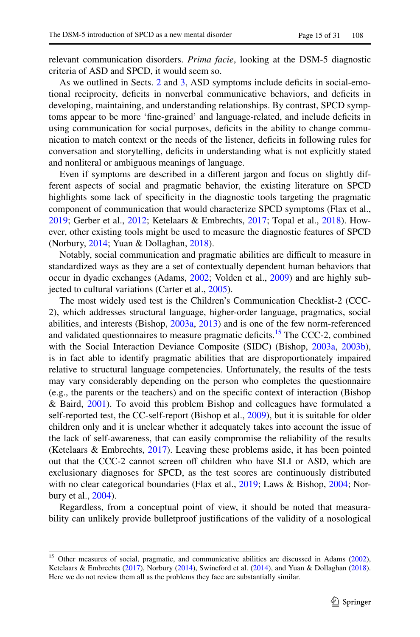relevant communication disorders. *Prima facie*, looking at the DSM-5 diagnostic criteria of ASD and SPCD, it would seem so.

As we outlined in Sects. [2](#page-3-0) and [3,](#page-7-0) ASD symptoms include defcits in social-emotional reciprocity, deficits in nonverbal communicative behaviors, and deficits in developing, maintaining, and understanding relationships. By contrast, SPCD symptoms appear to be more 'fne-grained' and language-related, and include defcits in using communication for social purposes, defcits in the ability to change communication to match context or the needs of the listener, defcits in following rules for conversation and storytelling, deficits in understanding what is not explicitly stated and nonliteral or ambiguous meanings of language.

Even if symptoms are described in a diferent jargon and focus on slightly different aspects of social and pragmatic behavior, the existing literature on SPCD highlights some lack of specificity in the diagnostic tools targeting the pragmatic component of communication that would characterize SPCD symptoms (Flax et al., [2019](#page-27-0); Gerber et al., [2012;](#page-27-13) Ketelaars & Embrechts, [2017](#page-28-0); Topal et al., [2018](#page-29-18)). However, other existing tools might be used to measure the diagnostic features of SPCD (Norbury, [2014;](#page-28-3) Yuan & Dollaghan, [2018\)](#page-30-4).

Notably, social communication and pragmatic abilities are difcult to measure in standardized ways as they are a set of contextually dependent human behaviors that occur in dyadic exchanges (Adams, [2002;](#page-25-11) Volden et al., [2009\)](#page-30-5) and are highly subjected to cultural variations (Carter et al., [2005](#page-26-9)).

The most widely used test is the Children's Communication Checklist-2 (CCC-2), which addresses structural language, higher-order language, pragmatics, social abilities, and interests (Bishop, [2003a,](#page-26-10) [2013](#page-26-11)) and is one of the few norm-referenced and validated questionnaires to measure pragmatic deficits.<sup>15</sup> The CCC-2, combined with the Social Interaction Deviance Composite (SIDC) (Bishop, [2003a,](#page-26-10) [2003b\)](#page-26-12), is in fact able to identify pragmatic abilities that are disproportionately impaired relative to structural language competencies. Unfortunately, the results of the tests may vary considerably depending on the person who completes the questionnaire (e.g., the parents or the teachers) and on the specifc context of interaction (Bishop & Baird, [2001](#page-26-13)). To avoid this problem Bishop and colleagues have formulated a self-reported test, the CC-self-report (Bishop et al., [2009\)](#page-26-14), but it is suitable for older children only and it is unclear whether it adequately takes into account the issue of the lack of self-awareness, that can easily compromise the reliability of the results (Ketelaars & Embrechts, [2017\)](#page-28-0). Leaving these problems aside, it has been pointed out that the CCC-2 cannot screen of children who have SLI or ASD, which are exclusionary diagnoses for SPCD, as the test scores are continuously distributed with no clear categorical boundaries (Flax et al., [2019](#page-27-0); Laws & Bishop, [2004](#page-28-13); Norbury et al., [2004](#page-28-14)).

Regardless, from a conceptual point of view, it should be noted that measurability can unlikely provide bulletproof justifcations of the validity of a nosological

<span id="page-14-0"></span><sup>&</sup>lt;sup>15</sup> Other measures of social, pragmatic, and communicative abilities are discussed in Adams ([2002\)](#page-25-11), Ketelaars & Embrechts ([2017\)](#page-28-0), Norbury ([2014\)](#page-28-3), Swineford et al. ([2014\)](#page-29-3), and Yuan & Dollaghan ([2018\)](#page-30-4). Here we do not review them all as the problems they face are substantially similar.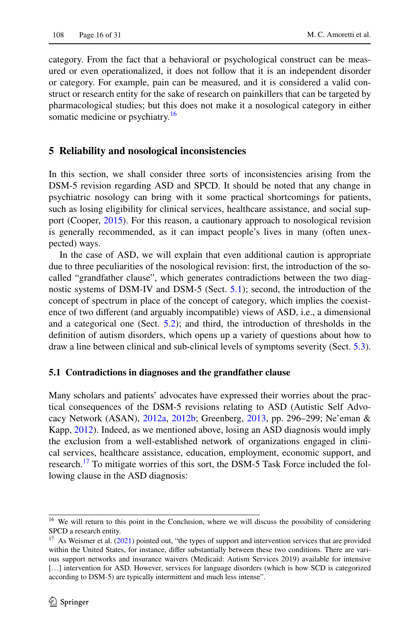category. From the fact that a behavioral or psychological construct can be measured or even operationalized, it does not follow that it is an independent disorder or category. For example, pain can be measured, and it is considered a valid construct or research entity for the sake of research on painkillers that can be targeted by pharmacological studies; but this does not make it a nosological category in either somatic medicine or psychiatry.<sup>[16](#page-15-1)</sup>

## <span id="page-15-0"></span>**5 Reliability and nosological inconsistencies**

In this section, we shall consider three sorts of inconsistencies arising from the DSM-5 revision regarding ASD and SPCD. It should be noted that any change in psychiatric nosology can bring with it some practical shortcomings for patients, such as losing eligibility for clinical services, healthcare assistance, and social support (Cooper, [2015\)](#page-27-1). For this reason, a cautionary approach to nosological revision is generally recommended, as it can impact people's lives in many (often unexpected) ways.

In the case of ASD, we will explain that even additional caution is appropriate due to three peculiarities of the nosological revision: frst, the introduction of the socalled "grandfather clause", which generates contradictions between the two diagnostic systems of DSM-IV and DSM-5 (Sect. [5.1\)](#page-15-2); second, the introduction of the concept of spectrum in place of the concept of category, which implies the coexistence of two diferent (and arguably incompatible) views of ASD, i.e., a dimensional and a categorical one (Sect. [5.2\)](#page-17-0); and third, the introduction of thresholds in the defnition of autism disorders, which opens up a variety of questions about how to draw a line between clinical and sub-clinical levels of symptoms severity (Sect. [5.3\)](#page-19-0).

#### <span id="page-15-2"></span>**5.1 Contradictions in diagnoses and the grandfather clause**

Many scholars and patients' advocates have expressed their worries about the practical consequences of the DSM-5 revisions relating to ASD (Autistic Self Advocacy Network (ASAN), [2012a](#page-26-15), [2012b;](#page-26-16) Greenberg, [2013,](#page-27-15) pp. 296–299; Ne'eman & Kapp, [2012\)](#page-28-15). Indeed, as we mentioned above, losing an ASD diagnosis would imply the exclusion from a well-established network of organizations engaged in clinical services, healthcare assistance, education, employment, economic support, and research.<sup>17</sup> To mitigate worries of this sort, the DSM-5 Task Force included the following clause in the ASD diagnosis:

<span id="page-15-1"></span><sup>&</sup>lt;sup>16</sup> We will return to this point in the Conclusion, where we will discuss the possibility of considering SPCD a research entity.

<span id="page-15-3"></span> $17$  As Weismer et al. [\(2021](#page-30-6)) pointed out, "the types of support and intervention services that are provided within the United States, for instance, difer substantially between these two conditions. There are various support networks and insurance waivers (Medicaid: Autism Services 2019) available for intensive [...] intervention for ASD. However, services for language disorders (which is how SCD is categorized according to DSM-5) are typically intermittent and much less intense".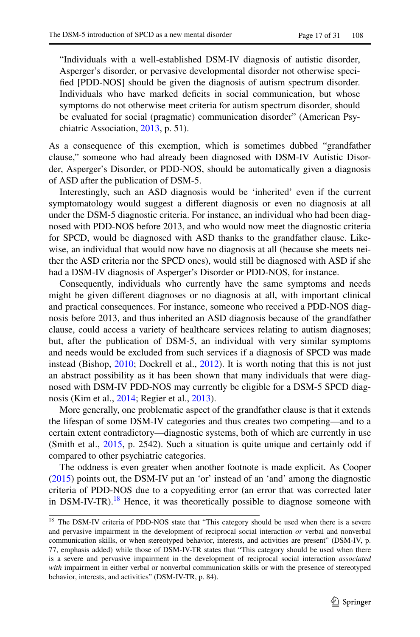"Individuals with a well-established DSM-IV diagnosis of autistic disorder, Asperger's disorder, or pervasive developmental disorder not otherwise specifed [PDD-NOS] should be given the diagnosis of autism spectrum disorder. Individuals who have marked deficits in social communication, but whose symptoms do not otherwise meet criteria for autism spectrum disorder, should be evaluated for social (pragmatic) communication disorder" (American Psychiatric Association, [2013](#page-25-0), p. 51).

As a consequence of this exemption, which is sometimes dubbed "grandfather clause," someone who had already been diagnosed with DSM-IV Autistic Disorder, Asperger's Disorder, or PDD-NOS, should be automatically given a diagnosis of ASD after the publication of DSM-5.

Interestingly, such an ASD diagnosis would be 'inherited' even if the current symptomatology would suggest a diferent diagnosis or even no diagnosis at all under the DSM-5 diagnostic criteria. For instance, an individual who had been diagnosed with PDD-NOS before 2013, and who would now meet the diagnostic criteria for SPCD, would be diagnosed with ASD thanks to the grandfather clause. Likewise, an individual that would now have no diagnosis at all (because she meets neither the ASD criteria nor the SPCD ones), would still be diagnosed with ASD if she had a DSM-IV diagnosis of Asperger's Disorder or PDD-NOS, for instance.

Consequently, individuals who currently have the same symptoms and needs might be given diferent diagnoses or no diagnosis at all, with important clinical and practical consequences. For instance, someone who received a PDD-NOS diagnosis before 2013, and thus inherited an ASD diagnosis because of the grandfather clause, could access a variety of healthcare services relating to autism diagnoses; but, after the publication of DSM-5, an individual with very similar symptoms and needs would be excluded from such services if a diagnosis of SPCD was made instead (Bishop, [2010;](#page-26-17) Dockrell et al., [2012](#page-27-16)). It is worth noting that this is not just an abstract possibility as it has been shown that many individuals that were diagnosed with DSM-IV PDD-NOS may currently be eligible for a DSM-5 SPCD diagnosis (Kim et al., [2014](#page-28-16); Regier et al., [2013\)](#page-29-2).

More generally, one problematic aspect of the grandfather clause is that it extends the lifespan of some DSM-IV categories and thus creates two competing—and to a certain extent contradictory—diagnostic systems, both of which are currently in use (Smith et al., [2015](#page-29-19), p. 2542). Such a situation is quite unique and certainly odd if compared to other psychiatric categories.

The oddness is even greater when another footnote is made explicit. As Cooper [\(2015](#page-27-1)) points out, the DSM-IV put an 'or' instead of an 'and' among the diagnostic criteria of PDD-NOS due to a copyediting error (an error that was corrected later in DSM-IV-TR).<sup>18</sup> Hence, it was theoretically possible to diagnose someone with

<span id="page-16-0"></span><sup>&</sup>lt;sup>18</sup> The DSM-IV criteria of PDD-NOS state that "This category should be used when there is a severe and pervasive impairment in the development of reciprocal social interaction *or* verbal and nonverbal communication skills, or when stereotyped behavior, interests, and activities are present" (DSM-IV, p. 77, emphasis added) while those of DSM-IV-TR states that "This category should be used when there is a severe and pervasive impairment in the development of reciprocal social interaction *associated with* impairment in either verbal or nonverbal communication skills or with the presence of stereotyped behavior, interests, and activities" (DSM-IV-TR, p. 84).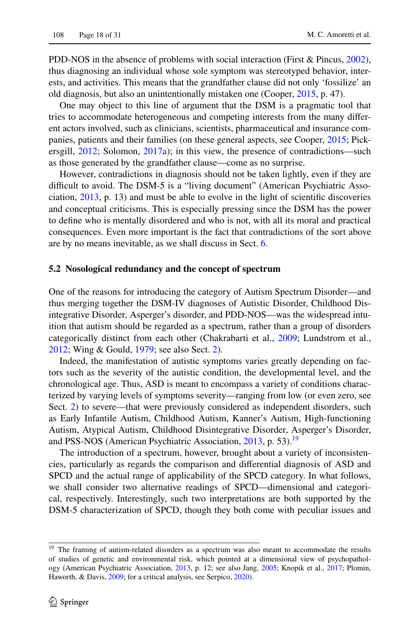PDD-NOS in the absence of problems with social interaction (First & Pincus, [2002\)](#page-27-17), thus diagnosing an individual whose sole symptom was stereotyped behavior, interests, and activities. This means that the grandfather clause did not only 'fossilize' an old diagnosis, but also an unintentionally mistaken one (Cooper, [2015,](#page-27-1) p. 47).

One may object to this line of argument that the DSM is a pragmatic tool that tries to accommodate heterogeneous and competing interests from the many diferent actors involved, such as clinicians, scientists, pharmaceutical and insurance companies, patients and their families (on these general aspects, see Cooper, [2015;](#page-27-1) Pickersgill, [2012;](#page-28-17) Solomon, [2017a\)](#page-29-8); in this view, the presence of contradictions—such as those generated by the grandfather clause—come as no surprise.

However, contradictions in diagnosis should not be taken lightly, even if they are difficult to avoid. The DSM-5 is a "living document" (American Psychiatric Association, [2013,](#page-25-0) p. 13) and must be able to evolve in the light of scientifc discoveries and conceptual criticisms. This is especially pressing since the DSM has the power to defne who is mentally disordered and who is not, with all its moral and practical consequences. Even more important is the fact that contradictions of the sort above are by no means inevitable, as we shall discuss in Sect. [6](#page-21-0).

#### <span id="page-17-0"></span>**5.2 Nosological redundancy and the concept of spectrum**

One of the reasons for introducing the category of Autism Spectrum Disorder—and thus merging together the DSM-IV diagnoses of Autistic Disorder, Childhood Disintegrative Disorder, Asperger's disorder, and PDD-NOS—was the widespread intuition that autism should be regarded as a spectrum, rather than a group of disorders categorically distinct from each other (Chakrabarti et al., [2009](#page-26-18); Lundstrom et al., [2012](#page-28-18); Wing & Gould, [1979](#page-30-2); see also Sect. [2\)](#page-3-0).

Indeed, the manifestation of autistic symptoms varies greatly depending on factors such as the severity of the autistic condition, the developmental level, and the chronological age. Thus, ASD is meant to encompass a variety of conditions characterized by varying levels of symptoms severity—ranging from low (or even zero, see Sect. [2\)](#page-3-0) to severe—that were previously considered as independent disorders, such as Early Infantile Autism, Childhood Autism, Kanner's Autism, High-functioning Autism, Atypical Autism, Childhood Disintegrative Disorder, Asperger's Disorder, and PSS-NOS (American Psychiatric Association, [2013,](#page-25-0) p. 53).<sup>[19](#page-17-1)</sup>

The introduction of a spectrum, however, brought about a variety of inconsistencies, particularly as regards the comparison and diferential diagnosis of ASD and SPCD and the actual range of applicability of the SPCD category. In what follows, we shall consider two alternative readings of SPCD—dimensional and categorical, respectively. Interestingly, such two interpretations are both supported by the DSM-5 characterization of SPCD, though they both come with peculiar issues and

<span id="page-17-1"></span><sup>&</sup>lt;sup>19</sup> The framing of autism-related disorders as a spectrum was also meant to accommodate the results of studies of genetic and environmental risk, which pointed at a dimensional view of psychopathology (American Psychiatric Association, [2013,](#page-25-0) p. 12; see also Jang, [2005;](#page-27-18) Knopik et al., [2017](#page-28-19); Plomin, Haworth, & Davis, [2009](#page-28-20); for a critical analysis, see Serpico, [2020\)](#page-29-20).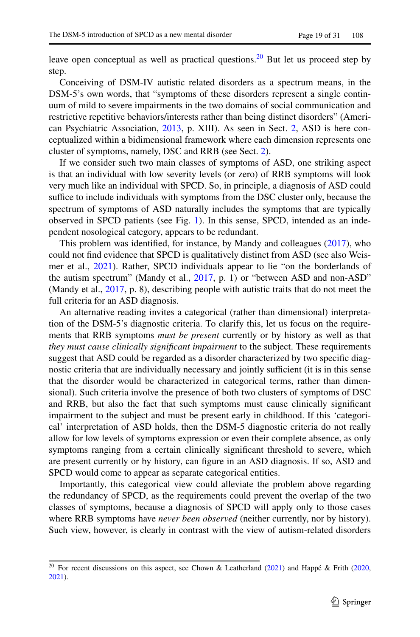leave open conceptual as well as practical questions.<sup>20</sup> But let us proceed step by step.

Conceiving of DSM-IV autistic related disorders as a spectrum means, in the DSM-5's own words, that "symptoms of these disorders represent a single continuum of mild to severe impairments in the two domains of social communication and restrictive repetitive behaviors/interests rather than being distinct disorders" (American Psychiatric Association, [2013,](#page-25-0) p. XIII). As seen in Sect. [2,](#page-3-0) ASD is here conceptualized within a bidimensional framework where each dimension represents one cluster of symptoms, namely, DSC and RRB (see Sect. [2\)](#page-3-0).

If we consider such two main classes of symptoms of ASD, one striking aspect is that an individual with low severity levels (or zero) of RRB symptoms will look very much like an individual with SPCD. So, in principle, a diagnosis of ASD could suffice to include individuals with symptoms from the DSC cluster only, because the spectrum of symptoms of ASD naturally includes the symptoms that are typically observed in SPCD patients (see Fig. [1](#page-19-1)). In this sense, SPCD, intended as an independent nosological category, appears to be redundant.

This problem was identifed, for instance, by Mandy and colleagues [\(2017](#page-28-21)), who could not fnd evidence that SPCD is qualitatively distinct from ASD (see also Weismer et al., [2021\)](#page-30-6). Rather, SPCD individuals appear to lie "on the borderlands of the autism spectrum" (Mandy et al., [2017](#page-28-21), p. 1) or "between ASD and non-ASD" (Mandy et al., [2017](#page-28-21), p. 8), describing people with autistic traits that do not meet the full criteria for an ASD diagnosis.

An alternative reading invites a categorical (rather than dimensional) interpretation of the DSM-5's diagnostic criteria. To clarify this, let us focus on the requirements that RRB symptoms *must be present* currently or by history as well as that *they must cause clinically signifcant impairment* to the subject. These requirements suggest that ASD could be regarded as a disorder characterized by two specifc diagnostic criteria that are individually necessary and jointly sufficient (it is in this sense that the disorder would be characterized in categorical terms, rather than dimensional). Such criteria involve the presence of both two clusters of symptoms of DSC and RRB, but also the fact that such symptoms must cause clinically signifcant impairment to the subject and must be present early in childhood. If this 'categorical' interpretation of ASD holds, then the DSM-5 diagnostic criteria do not really allow for low levels of symptoms expression or even their complete absence, as only symptoms ranging from a certain clinically signifcant threshold to severe, which are present currently or by history, can fgure in an ASD diagnosis. If so, ASD and SPCD would come to appear as separate categorical entities.

Importantly, this categorical view could alleviate the problem above regarding the redundancy of SPCD, as the requirements could prevent the overlap of the two classes of symptoms, because a diagnosis of SPCD will apply only to those cases where RRB symptoms have *never been observed* (neither currently, nor by history). Such view, however, is clearly in contrast with the view of autism-related disorders

<span id="page-18-0"></span><sup>&</sup>lt;sup>20</sup> For recent discussions on this aspect, see Chown & Leatherland ([2021\)](#page-26-19) and Happé & Frith [\(2020](#page-27-19), [2021](#page-27-20)).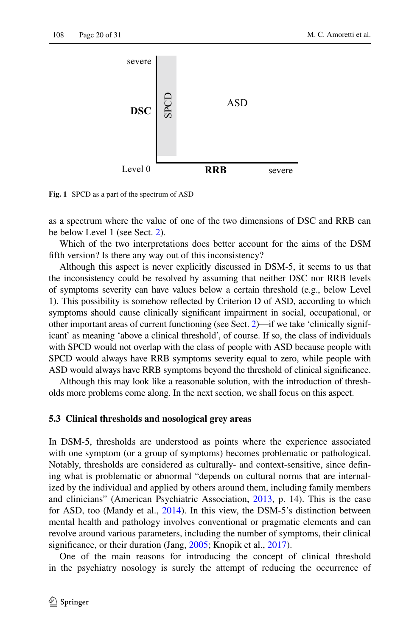

<span id="page-19-1"></span>**Fig. 1** SPCD as a part of the spectrum of ASD

as a spectrum where the value of one of the two dimensions of DSC and RRB can be below Level 1 (see Sect. [2\)](#page-3-0).

Which of the two interpretations does better account for the aims of the DSM ffth version? Is there any way out of this inconsistency?

Although this aspect is never explicitly discussed in DSM-5, it seems to us that the inconsistency could be resolved by assuming that neither DSC nor RRB levels of symptoms severity can have values below a certain threshold (e.g., below Level 1). This possibility is somehow refected by Criterion D of ASD, according to which symptoms should cause clinically signifcant impairment in social, occupational, or other important areas of current functioning (see Sect. [2](#page-3-0))—if we take 'clinically significant' as meaning 'above a clinical threshold', of course. If so, the class of individuals with SPCD would not overlap with the class of people with ASD because people with SPCD would always have RRB symptoms severity equal to zero, while people with ASD would always have RRB symptoms beyond the threshold of clinical signifcance.

Although this may look like a reasonable solution, with the introduction of thresholds more problems come along. In the next section, we shall focus on this aspect.

#### <span id="page-19-0"></span>**5.3 Clinical thresholds and nosological grey areas**

In DSM-5, thresholds are understood as points where the experience associated with one symptom (or a group of symptoms) becomes problematic or pathological. Notably, thresholds are considered as culturally- and context-sensitive, since defning what is problematic or abnormal "depends on cultural norms that are internalized by the individual and applied by others around them, including family members and clinicians" (American Psychiatric Association, [2013,](#page-25-0) p. 14). This is the case for ASD, too (Mandy et al., [2014\)](#page-28-22). In this view, the DSM-5's distinction between mental health and pathology involves conventional or pragmatic elements and can revolve around various parameters, including the number of symptoms, their clinical significance, or their duration (Jang, [2005;](#page-27-18) Knopik et al., [2017\)](#page-28-19).

One of the main reasons for introducing the concept of clinical threshold in the psychiatry nosology is surely the attempt of reducing the occurrence of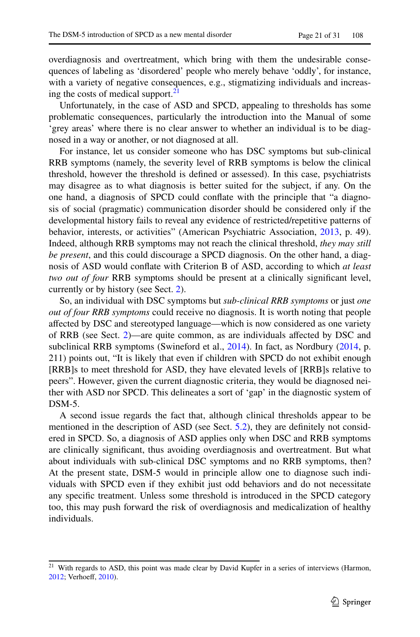overdiagnosis and overtreatment, which bring with them the undesirable consequences of labeling as 'disordered' people who merely behave 'oddly', for instance, with a variety of negative consequences, e.g., stigmatizing individuals and increasing the costs of medical support. $^{21}$ 

Unfortunately, in the case of ASD and SPCD, appealing to thresholds has some problematic consequences, particularly the introduction into the Manual of some 'grey areas' where there is no clear answer to whether an individual is to be diagnosed in a way or another, or not diagnosed at all.

For instance, let us consider someone who has DSC symptoms but sub-clinical RRB symptoms (namely, the severity level of RRB symptoms is below the clinical threshold, however the threshold is defned or assessed). In this case, psychiatrists may disagree as to what diagnosis is better suited for the subject, if any. On the one hand, a diagnosis of SPCD could confate with the principle that "a diagnosis of social (pragmatic) communication disorder should be considered only if the developmental history fails to reveal any evidence of restricted/repetitive patterns of behavior, interests, or activities" (American Psychiatric Association, [2013](#page-25-0), p. 49). Indeed, although RRB symptoms may not reach the clinical threshold, *they may still be present*, and this could discourage a SPCD diagnosis. On the other hand, a diagnosis of ASD would confate with Criterion B of ASD, according to which *at least two out of four* RRB symptoms should be present at a clinically signifcant level, currently or by history (see Sect. [2\)](#page-3-0).

So, an individual with DSC symptoms but *sub-clinical RRB symptoms* or just *one out of four RRB symptoms* could receive no diagnosis. It is worth noting that people afected by DSC and stereotyped language—which is now considered as one variety of RRB (see Sect. [2](#page-3-0))—are quite common, as are individuals afected by DSC and subclinical RRB symptoms (Swineford et al., [2014\)](#page-29-3). In fact, as Nordbury [\(2014](#page-28-3), p. 211) points out, "It is likely that even if children with SPCD do not exhibit enough [RRB]s to meet threshold for ASD, they have elevated levels of [RRB]s relative to peers". However, given the current diagnostic criteria, they would be diagnosed neither with ASD nor SPCD. This delineates a sort of 'gap' in the diagnostic system of DSM-5.

A second issue regards the fact that, although clinical thresholds appear to be mentioned in the description of ASD (see Sect. [5.2\)](#page-17-0), they are defnitely not considered in SPCD. So, a diagnosis of ASD applies only when DSC and RRB symptoms are clinically signifcant, thus avoiding overdiagnosis and overtreatment. But what about individuals with sub-clinical DSC symptoms and no RRB symptoms, then? At the present state, DSM-5 would in principle allow one to diagnose such individuals with SPCD even if they exhibit just odd behaviors and do not necessitate any specifc treatment. Unless some threshold is introduced in the SPCD category too, this may push forward the risk of overdiagnosis and medicalization of healthy individuals.

<span id="page-20-0"></span><sup>&</sup>lt;sup>21</sup> With regards to ASD, this point was made clear by David Kupfer in a series of interviews (Harmon, [2012](#page-27-21); Verhoef, [2010](#page-30-7)).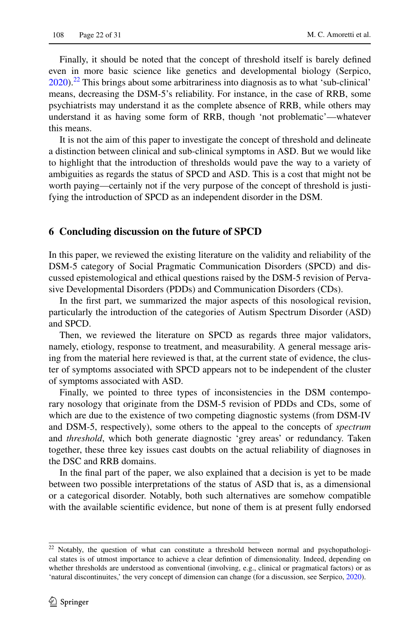Finally, it should be noted that the concept of threshold itself is barely defned even in more basic science like genetics and developmental biology (Serpico,  $2020$ ).<sup>22</sup> This brings about some arbitrariness into diagnosis as to what 'sub-clinical' means, decreasing the DSM-5's reliability. For instance, in the case of RRB, some psychiatrists may understand it as the complete absence of RRB, while others may understand it as having some form of RRB, though 'not problematic'—whatever this means.

It is not the aim of this paper to investigate the concept of threshold and delineate a distinction between clinical and sub-clinical symptoms in ASD. But we would like to highlight that the introduction of thresholds would pave the way to a variety of ambiguities as regards the status of SPCD and ASD. This is a cost that might not be worth paying—certainly not if the very purpose of the concept of threshold is justifying the introduction of SPCD as an independent disorder in the DSM.

## <span id="page-21-0"></span>**6 Concluding discussion on the future of SPCD**

In this paper, we reviewed the existing literature on the validity and reliability of the DSM-5 category of Social Pragmatic Communication Disorders (SPCD) and discussed epistemological and ethical questions raised by the DSM-5 revision of Pervasive Developmental Disorders (PDDs) and Communication Disorders (CDs).

In the frst part, we summarized the major aspects of this nosological revision, particularly the introduction of the categories of Autism Spectrum Disorder (ASD) and SPCD.

Then, we reviewed the literature on SPCD as regards three major validators, namely, etiology, response to treatment, and measurability. A general message arising from the material here reviewed is that, at the current state of evidence, the cluster of symptoms associated with SPCD appears not to be independent of the cluster of symptoms associated with ASD.

Finally, we pointed to three types of inconsistencies in the DSM contemporary nosology that originate from the DSM-5 revision of PDDs and CDs, some of which are due to the existence of two competing diagnostic systems (from DSM-IV and DSM-5, respectively), some others to the appeal to the concepts of *spectrum* and *threshold*, which both generate diagnostic 'grey areas' or redundancy. Taken together, these three key issues cast doubts on the actual reliability of diagnoses in the DSC and RRB domains.

In the fnal part of the paper, we also explained that a decision is yet to be made between two possible interpretations of the status of ASD that is, as a dimensional or a categorical disorder. Notably, both such alternatives are somehow compatible with the available scientific evidence, but none of them is at present fully endorsed

<span id="page-21-1"></span><sup>&</sup>lt;sup>22</sup> Notably, the question of what can constitute a threshold between normal and psychopathological states is of utmost importance to achieve a clear defntion of dimensionality. Indeed, depending on whether thresholds are understood as conventional (involving, e.g., clinical or pragmatical factors) or as 'natural discontinuites,' the very concept of dimension can change (for a discussion, see Serpico, [2020](#page-29-20)).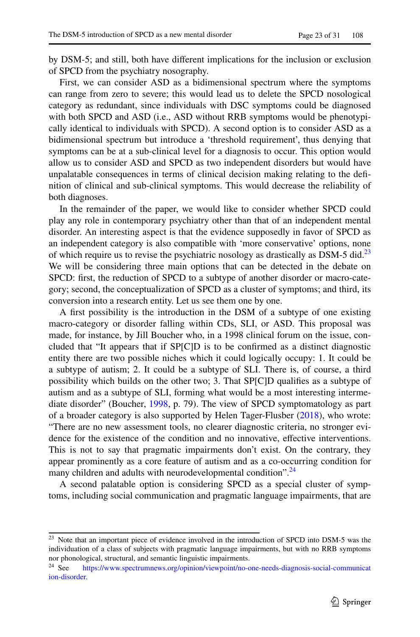by DSM-5; and still, both have diferent implications for the inclusion or exclusion of SPCD from the psychiatry nosography.

First, we can consider ASD as a bidimensional spectrum where the symptoms can range from zero to severe; this would lead us to delete the SPCD nosological category as redundant, since individuals with DSC symptoms could be diagnosed with both SPCD and ASD (i.e., ASD without RRB symptoms would be phenotypically identical to individuals with SPCD). A second option is to consider ASD as a bidimensional spectrum but introduce a 'threshold requirement', thus denying that symptoms can be at a sub-clinical level for a diagnosis to occur. This option would allow us to consider ASD and SPCD as two independent disorders but would have unpalatable consequences in terms of clinical decision making relating to the defnition of clinical and sub-clinical symptoms. This would decrease the reliability of both diagnoses.

In the remainder of the paper, we would like to consider whether SPCD could play any role in contemporary psychiatry other than that of an independent mental disorder. An interesting aspect is that the evidence supposedly in favor of SPCD as an independent category is also compatible with 'more conservative' options, none of which require us to revise the psychiatric nosology as drastically as DSM-5 did.<sup>23</sup> We will be considering three main options that can be detected in the debate on SPCD: first, the reduction of SPCD to a subtype of another disorder or macro-category; second, the conceptualization of SPCD as a cluster of symptoms; and third, its conversion into a research entity. Let us see them one by one.

A frst possibility is the introduction in the DSM of a subtype of one existing macro-category or disorder falling within CDs, SLI, or ASD. This proposal was made, for instance, by Jill Boucher who, in a 1998 clinical forum on the issue, concluded that "It appears that if SP[C]D is to be confrmed as a distinct diagnostic entity there are two possible niches which it could logically occupy: 1. It could be a subtype of autism; 2. It could be a subtype of SLI. There is, of course, a third possibility which builds on the other two; 3. That SP[C]D qualifes as a subtype of autism and as a subtype of SLI, forming what would be a most interesting interme-diate disorder" (Boucher, [1998,](#page-26-20) p. 79). The view of SPCD symptomatology as part of a broader category is also supported by Helen Tager-Flusber ([2018\)](#page-29-21), who wrote: "There are no new assessment tools, no clearer diagnostic criteria, no stronger evidence for the existence of the condition and no innovative, efective interventions. This is not to say that pragmatic impairments don't exist. On the contrary, they appear prominently as a core feature of autism and as a co-occurring condition for many children and adults with neurodevelopmental condition".<sup>[24](#page-22-1)</sup>

A second palatable option is considering SPCD as a special cluster of symptoms, including social communication and pragmatic language impairments, that are

<span id="page-22-0"></span><sup>&</sup>lt;sup>23</sup> Note that an important piece of evidence involved in the introduction of SPCD into DSM-5 was the individuation of a class of subjects with pragmatic language impairments, but with no RRB symptoms nor phonological, structural, and semantic linguistic impairments.<br><sup>24</sup> See https://www.spectrumnews.org/opinion/viewpoint/no-

<span id="page-22-1"></span>[https://www.spectrumnews.org/opinion/viewpoint/no-one-needs-diagnosis-social-communicat](https://www.spectrumnews.org/opinion/viewpoint/no-one-needs-diagnosis-social-communication-disorder) [ion-disorder.](https://www.spectrumnews.org/opinion/viewpoint/no-one-needs-diagnosis-social-communication-disorder)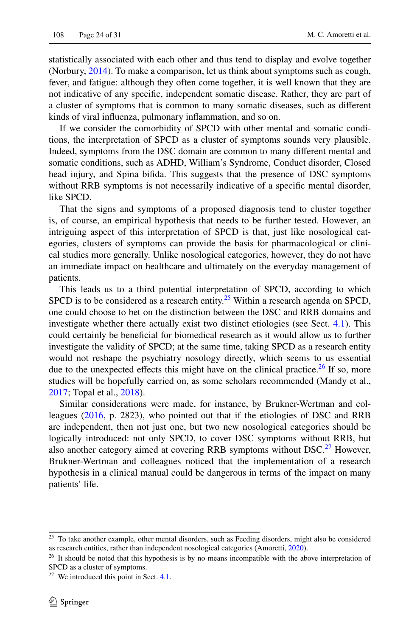statistically associated with each other and thus tend to display and evolve together (Norbury, [2014\)](#page-28-3). To make a comparison, let us think about symptoms such as cough, fever, and fatigue: although they often come together, it is well known that they are not indicative of any specifc, independent somatic disease. Rather, they are part of a cluster of symptoms that is common to many somatic diseases, such as diferent kinds of viral infuenza, pulmonary infammation, and so on.

If we consider the comorbidity of SPCD with other mental and somatic conditions, the interpretation of SPCD as a cluster of symptoms sounds very plausible. Indeed, symptoms from the DSC domain are common to many diferent mental and somatic conditions, such as ADHD, William's Syndrome, Conduct disorder, Closed head injury, and Spina bifda. This suggests that the presence of DSC symptoms without RRB symptoms is not necessarily indicative of a specifc mental disorder, like SPCD.

That the signs and symptoms of a proposed diagnosis tend to cluster together is, of course, an empirical hypothesis that needs to be further tested. However, an intriguing aspect of this interpretation of SPCD is that, just like nosological categories, clusters of symptoms can provide the basis for pharmacological or clinical studies more generally. Unlike nosological categories, however, they do not have an immediate impact on healthcare and ultimately on the everyday management of patients.

This leads us to a third potential interpretation of SPCD, according to which SPCD is to be considered as a research entity.<sup>25</sup> Within a research agenda on SPCD, one could choose to bet on the distinction between the DSC and RRB domains and investigate whether there actually exist two distinct etiologies (see Sect. [4.1](#page-10-2)). This could certainly be benefcial for biomedical research as it would allow us to further investigate the validity of SPCD; at the same time, taking SPCD as a research entity would not reshape the psychiatry nosology directly, which seems to us essential due to the unexpected effects this might have on the clinical practice.<sup>26</sup> If so, more studies will be hopefully carried on, as some scholars recommended (Mandy et al., [2017](#page-28-21); Topal et al., [2018](#page-29-18)).

Similar considerations were made, for instance, by Brukner-Wertman and colleagues [\(2016](#page-26-1), p. 2823), who pointed out that if the etiologies of DSC and RRB are independent, then not just one, but two new nosological categories should be logically introduced: not only SPCD, to cover DSC symptoms without RRB, but also another category aimed at covering RRB symptoms without DSC.<sup>27</sup> However, Brukner-Wertman and colleagues noticed that the implementation of a research hypothesis in a clinical manual could be dangerous in terms of the impact on many patients' life.

<span id="page-23-0"></span><sup>&</sup>lt;sup>25</sup> To take another example, other mental disorders, such as Feeding disorders, might also be considered as research entities, rather than independent nosological categories (Amoretti, [2020\)](#page-25-12).

<span id="page-23-1"></span><sup>&</sup>lt;sup>26</sup> It should be noted that this hypothesis is by no means incompatible with the above interpretation of SPCD as a cluster of symptoms.

<span id="page-23-2"></span> $27$  We introduced this point in Sect. [4.1](#page-10-2).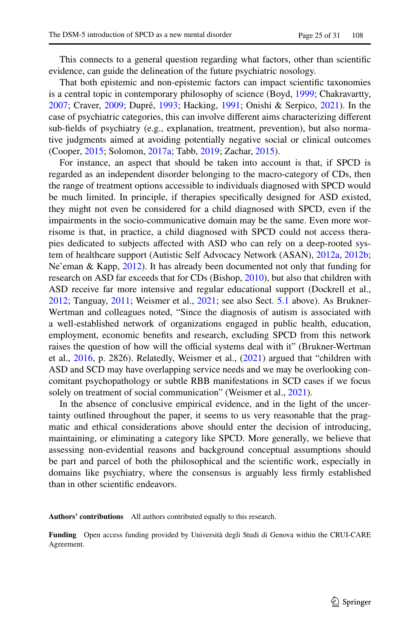This connects to a general question regarding what factors, other than scientifc evidence, can guide the delineation of the future psychiatric nosology.

That both epistemic and non-epistemic factors can impact scientifc taxonomies is a central topic in contemporary philosophy of science (Boyd, [1999;](#page-26-21) Chakravartty, [2007](#page-26-22); Craver, [2009](#page-27-5); Dupré, [1993](#page-27-22); Hacking, [1991;](#page-27-23) Onishi & Serpico, [2021](#page-28-23)). In the case of psychiatric categories, this can involve diferent aims characterizing diferent sub-felds of psychiatry (e.g., explanation, treatment, prevention), but also normative judgments aimed at avoiding potentially negative social or clinical outcomes (Cooper, [2015;](#page-27-1) Solomon, [2017a](#page-29-8); Tabb, [2019;](#page-29-11) Zachar, [2015](#page-30-1)).

For instance, an aspect that should be taken into account is that, if SPCD is regarded as an independent disorder belonging to the macro-category of CDs, then the range of treatment options accessible to individuals diagnosed with SPCD would be much limited. In principle, if therapies specifcally designed for ASD existed, they might not even be considered for a child diagnosed with SPCD, even if the impairments in the socio-communicative domain may be the same. Even more worrisome is that, in practice, a child diagnosed with SPCD could not access therapies dedicated to subjects afected with ASD who can rely on a deep-rooted system of healthcare support (Autistic Self Advocacy Network (ASAN), [2012a](#page-26-15), [2012b;](#page-26-16) Ne'eman & Kapp, [2012](#page-28-15)). It has already been documented not only that funding for research on ASD far exceeds that for CDs (Bishop, [2010](#page-26-17)), but also that children with ASD receive far more intensive and regular educational support (Dockrell et al., [2012](#page-27-16); Tanguay, [2011](#page-29-22); Weismer et al., [2021](#page-30-6); see also Sect. [5.1](#page-15-2) above). As Brukner-Wertman and colleagues noted, "Since the diagnosis of autism is associated with a well-established network of organizations engaged in public health, education, employment, economic benefts and research, excluding SPCD from this network raises the question of how will the official systems deal with it" (Brukner-Wertman et al., [2016](#page-26-1), p. 2826). Relatedly, Weismer et al., ([2021\)](#page-30-6) argued that "children with ASD and SCD may have overlapping service needs and we may be overlooking concomitant psychopathology or subtle RBB manifestations in SCD cases if we focus solely on treatment of social communication" (Weismer et al., [2021](#page-30-6)).

In the absence of conclusive empirical evidence, and in the light of the uncertainty outlined throughout the paper, it seems to us very reasonable that the pragmatic and ethical considerations above should enter the decision of introducing, maintaining, or eliminating a category like SPCD. More generally, we believe that assessing non-evidential reasons and background conceptual assumptions should be part and parcel of both the philosophical and the scientifc work, especially in domains like psychiatry, where the consensus is arguably less frmly established than in other scientifc endeavors.

**Authors' contributions** All authors contributed equally to this research.

**Funding** Open access funding provided by Università degli Studi di Genova within the CRUI-CARE Agreement.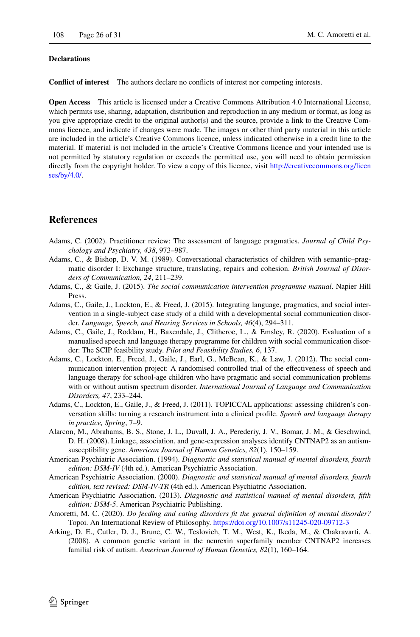#### **Declarations**

**Confict of interest** The authors declare no conficts of interest nor competing interests.

**Open Access** This article is licensed under a Creative Commons Attribution 4.0 International License, which permits use, sharing, adaptation, distribution and reproduction in any medium or format, as long as you give appropriate credit to the original author(s) and the source, provide a link to the Creative Commons licence, and indicate if changes were made. The images or other third party material in this article are included in the article's Creative Commons licence, unless indicated otherwise in a credit line to the material. If material is not included in the article's Creative Commons licence and your intended use is not permitted by statutory regulation or exceeds the permitted use, you will need to obtain permission directly from the copyright holder. To view a copy of this licence, visit [http://creativecommons.org/licen](http://creativecommons.org/licenses/by/4.0/) [ses/by/4.0/](http://creativecommons.org/licenses/by/4.0/).

## **References**

- <span id="page-25-11"></span>Adams, C. (2002). Practitioner review: The assessment of language pragmatics. *Journal of Child Psychology and Psychiatry, 438*, 973–987.
- <span id="page-25-1"></span>Adams, C., & Bishop, D. V. M. (1989). Conversational characteristics of children with semantic–pragmatic disorder I: Exchange structure, translating, repairs and cohesion. *British Journal of Disorders of Communication, 24*, 211–239.
- <span id="page-25-6"></span>Adams, C., & Gaile, J. (2015). *The social communication intervention programme manual*. Napier Hill Press.
- <span id="page-25-7"></span>Adams, C., Gaile, J., Lockton, E., & Freed, J. (2015). Integrating language, pragmatics, and social intervention in a single-subject case study of a child with a developmental social communication disorder. *Language, Speech, and Hearing Services in Schools, 46*(4), 294–311.
- <span id="page-25-8"></span>Adams, C., Gaile, J., Roddam, H., Baxendale, J., Clitheroe, L., & Emsley, R. (2020). Evaluation of a manualised speech and language therapy programme for children with social communication disorder: The SCIP feasibility study. *Pilot and Feasibility Studies, 6*, 137.
- <span id="page-25-9"></span>Adams, C., Lockton, E., Freed, J., Gaile, J., Earl, G., McBean, K., & Law, J. (2012). The social communication intervention project: A randomised controlled trial of the efectiveness of speech and language therapy for school-age children who have pragmatic and social communication problems with or without autism spectrum disorder. *International Journal of Language and Communication Disorders, 47*, 233–244.
- <span id="page-25-10"></span>Adams, C., Lockton, E., Gaile, J., & Freed, J. (2011). TOPICCAL applications: assessing children's conversation skills: turning a research instrument into a clinical profle. *Speech and language therapy in practice, Spring*, 7–9.
- <span id="page-25-4"></span>Alarcon, M., Abrahams, B. S., Stone, J. L., Duvall, J. A., Perederiy, J. V., Bomar, J. M., & Geschwind, D. H. (2008). Linkage, association, and gene-expression analyses identify CNTNAP2 as an autismsusceptibility gene. *American Journal of Human Genetics, 82*(1), 150–159.
- <span id="page-25-2"></span>American Psychiatric Association. (1994). *Diagnostic and statistical manual of mental disorders, fourth edition: DSM-IV* (4th ed.). American Psychiatric Association.
- <span id="page-25-3"></span>American Psychiatric Association. (2000). *Diagnostic and statistical manual of mental disorders, fourth edition, text revised: DSM-IV-TR* (4th ed.). American Psychiatric Association.
- <span id="page-25-0"></span>American Psychiatric Association. (2013). *Diagnostic and statistical manual of mental disorders, ffth edition: DSM-5*. American Psychiatric Publishing.
- <span id="page-25-12"></span>Amoretti, M. C. (2020). *Do feeding and eating disorders ft the general defnition of mental disorder?* Topoi. An International Review of Philosophy.<https://doi.org/10.1007/s11245-020-09712-3>
- <span id="page-25-5"></span>Arking, D. E., Cutler, D. J., Brune, C. W., Teslovich, T. M., West, K., Ikeda, M., & Chakravarti, A. (2008). A common genetic variant in the neurexin superfamily member CNTNAP2 increases familial risk of autism. *American Journal of Human Genetics, 82*(1), 160–164.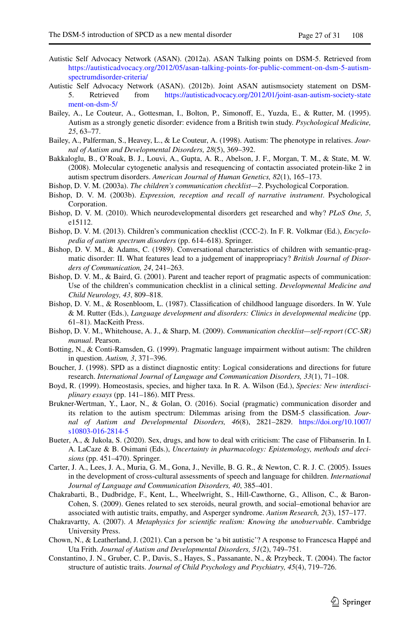- <span id="page-26-15"></span>Autistic Self Advocacy Network (ASAN). (2012a). ASAN Talking points on DSM-5. Retrieved from [https://autisticadvocacy.org/2012/05/asan-talking-points-for-public-comment-on-dsm-5-autism](https://autisticadvocacy.org/2012/05/asan-talking-points-for-public-comment-on-dsm-5-autism-spectrumdisorder-criteria/)[spectrumdisorder-criteria/](https://autisticadvocacy.org/2012/05/asan-talking-points-for-public-comment-on-dsm-5-autism-spectrumdisorder-criteria/)
- <span id="page-26-16"></span>Autistic Self Advocacy Network (ASAN). (2012b). Joint ASAN autismsociety statement on DSM-<br>5. Retrieved from https://autisticadvocacy.org/2012/01/joint-asan-autism-society-state 5. Retrieved from [https://autisticadvocacy.org/2012/01/joint-asan-autism-society-state](https://autisticadvocacy.org/2012/01/joint-asan-autism-society-statement-on-dsm-5/) [ment-on-dsm-5/](https://autisticadvocacy.org/2012/01/joint-asan-autism-society-statement-on-dsm-5/)
- <span id="page-26-5"></span>Bailey, A., Le Couteur, A., Gottesman, I., Bolton, P., Simonof, E., Yuzda, E., & Rutter, M. (1995). Autism as a strongly genetic disorder: evidence from a British twin study. *Psychological Medicine, 25*, 63–77.
- <span id="page-26-7"></span>Bailey, A., Palferman, S., Heavey, L., & Le Couteur, A. (1998). Autism: The phenotype in relatives. *Journal of Autism and Developmental Disorders, 28*(5), 369–392.
- <span id="page-26-8"></span>Bakkaloglu, B., O'Roak, B. J., Louvi, A., Gupta, A. R., Abelson, J. F., Morgan, T. M., & State, M. W. (2008). Molecular cytogenetic analysis and resequencing of contactin associated protein-like 2 in autism spectrum disorders. *American Journal of Human Genetics, 82*(1), 165–173.
- <span id="page-26-10"></span>Bishop, D. V. M. (2003a). *The children's communication checklist—2*. Psychological Corporation.
- <span id="page-26-12"></span>Bishop, D. V. M. (2003b). *Expression, reception and recall of narrative instrument*. Psychological Corporation.
- <span id="page-26-17"></span>Bishop, D. V. M. (2010). Which neurodevelopmental disorders get researched and why? *PLoS One, 5*, e15112.
- <span id="page-26-11"></span>Bishop, D. V. M. (2013). Children's communication checklist (CCC-2). In F. R. Volkmar (Ed.), *Encyclopedia of autism spectrum disorders* (pp. 614–618). Springer.
- <span id="page-26-2"></span>Bishop, D. V. M., & Adams, C. (1989). Conversational characteristics of children with semantic-pragmatic disorder: II. What features lead to a judgement of inappropriacy? *British Journal of Disorders of Communication, 24*, 241–263.
- <span id="page-26-13"></span>Bishop, D. V. M., & Baird, G. (2001). Parent and teacher report of pragmatic aspects of communication: Use of the children's communication checklist in a clinical setting. *Developmental Medicine and Child Neurology, 43*, 809–818.
- <span id="page-26-0"></span>Bishop, D. V. M., & Rosenbloom, L. (1987). Classifcation of childhood language disorders. In W. Yule & M. Rutter (Eds.), *Language development and disorders: Clinics in developmental medicine* (pp. 61–81). MacKeith Press.
- <span id="page-26-14"></span>Bishop, D. V. M., Whitehouse, A. J., & Sharp, M. (2009). *Communication checklist—self-report (CC-SR) manual*. Pearson.
- <span id="page-26-3"></span>Botting, N., & Conti-Ramsden, G. (1999). Pragmatic language impairment without autism: The children in question. *Autism, 3*, 371–396.
- <span id="page-26-20"></span>Boucher, J. (1998). SPD as a distinct diagnostic entity: Logical considerations and directions for future research. *International Journal of Language and Communication Disorders, 33*(1), 71–108.
- <span id="page-26-21"></span>Boyd, R. (1999). Homeostasis, species, and higher taxa. In R. A. Wilson (Ed.), *Species: New interdisciplinary essays* (pp. 141–186). MIT Press.
- <span id="page-26-1"></span>Brukner-Wertman, Y., Laor, N., & Golan, O. (2016). Social (pragmatic) communication disorder and its relation to the autism spectrum: Dilemmas arising from the DSM-5 classifcation. *Journal of Autism and Developmental Disorders, 46*(8), 2821–2829. [https://doi.org/10.1007/](https://doi.org/10.1007/s10803-016-2814-5) [s10803-016-2814-5](https://doi.org/10.1007/s10803-016-2814-5)
- <span id="page-26-4"></span>Bueter, A., & Jukola, S. (2020). Sex, drugs, and how to deal with criticism: The case of Flibanserin. In I. A. LaCaze & B. Osimani (Eds.), *Uncertainty in pharmacology: Epistemology, methods and decisions* (pp. 451–470). Springer.
- <span id="page-26-9"></span>Carter, J. A., Lees, J. A., Muria, G. M., Gona, J., Neville, B. G. R., & Newton, C. R. J. C. (2005). Issues in the development of cross-cultural assessments of speech and language for children. *International Journal of Language and Communication Disorders, 40*, 385–401.
- <span id="page-26-18"></span>Chakrabarti, B., Dudbridge, F., Kent, L., Wheelwright, S., Hill-Cawthorne, G., Allison, C., & Baron-Cohen, S. (2009). Genes related to sex steroids, neural growth, and social–emotional behavior are associated with autistic traits, empathy, and Asperger syndrome. *Autism Research, 2*(3), 157–177.
- <span id="page-26-22"></span>Chakravartty, A. (2007). *A Metaphysics for scientifc realism: Knowing the unobservable*. Cambridge University Press.
- <span id="page-26-19"></span>Chown, N., & Leatherland, J. (2021). Can a person be 'a bit autistic'? A response to Francesca Happé and Uta Frith. *Journal of Autism and Developmental Disorders, 51*(2), 749–751.
- <span id="page-26-6"></span>Constantino, J. N., Gruber, C. P., Davis, S., Hayes, S., Passanante, N., & Przybeck, T. (2004). The factor structure of autistic traits. *Journal of Child Psychology and Psychiatry, 45*(4), 719–726.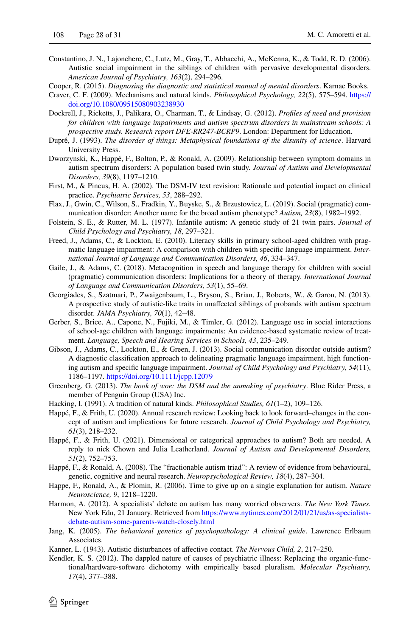- <span id="page-27-8"></span>Constantino, J. N., Lajonchere, C., Lutz, M., Gray, T., Abbacchi, A., McKenna, K., & Todd, R. D. (2006). Autistic social impairment in the siblings of children with pervasive developmental disorders. *American Journal of Psychiatry, 163*(2), 294–296.
- <span id="page-27-1"></span>Cooper, R. (2015). *Diagnosing the diagnostic and statistical manual of mental disorders*. Karnac Books.
- <span id="page-27-5"></span>Craver, C. F. (2009). Mechanisms and natural kinds. *Philosophical Psychology, 22*(5), 575–594. [https://](https://doi.org/10.1080/09515080903238930) [doi.org/10.1080/09515080903238930](https://doi.org/10.1080/09515080903238930)
- <span id="page-27-16"></span>Dockrell, J., Ricketts, J., Palikara, O., Charman, T., & Lindsay, G. (2012). *Profles of need and provision for children with language impairments and autism spectrum disorders in mainstream schools: A prospective study. Research report DFE-RR247-BCRP9*. London: Department for Education.
- <span id="page-27-22"></span>Dupré, J. (1993). *The disorder of things: Metaphysical foundations of the disunity of science*. Harvard University Press.
- <span id="page-27-10"></span>Dworzynski, K., Happé, F., Bolton, P., & Ronald, A. (2009). Relationship between symptom domains in autism spectrum disorders: A population based twin study. *Journal of Autism and Developmental Disorders, 39*(8), 1197–1210.
- <span id="page-27-17"></span>First, M., & Pincus, H. A. (2002). The DSM-IV text revision: Rationale and potential impact on clinical practice. *Psychiatric Services, 53*, 288–292.
- <span id="page-27-0"></span>Flax, J., Gwin, C., Wilson, S., Fradkin, Y., Buyske, S., & Brzustowicz, L. (2019). Social (pragmatic) communication disorder: Another name for the broad autism phenotype? *Autism, 23*(8), 1982–1992.
- <span id="page-27-9"></span>Folstein, S. E., & Rutter, M. L. (1977). Infantile autism: A genetic study of 21 twin pairs. *Journal of Child Psychology and Psychiatry, 18*, 297–321.
- <span id="page-27-3"></span>Freed, J., Adams, C., & Lockton, E. (2010). Literacy skills in primary school-aged children with pragmatic language impairment: A comparison with children with specifc language impairment. *International Journal of Language and Communication Disorders, 46*, 334–347.
- <span id="page-27-14"></span>Gaile, J., & Adams, C. (2018). Metacognition in speech and language therapy for children with social (pragmatic) communication disorders: Implications for a theory of therapy. *International Journal of Language and Communication Disorders, 53*(1), 55–69.
- <span id="page-27-7"></span>Georgiades, S., Szatmari, P., Zwaigenbaum, L., Bryson, S., Brian, J., Roberts, W., & Garon, N. (2013). A prospective study of autistic-like traits in unafected siblings of probands with autism spectrum disorder. *JAMA Psychiatry, 70*(1), 42–48.
- <span id="page-27-13"></span>Gerber, S., Brice, A., Capone, N., Fujiki, M., & Timler, G. (2012). Language use in social interactions of school-age children with language impairments: An evidence-based systematic review of treatment. *Language, Speech and Hearing Services in Schools, 43*, 235–249.
- <span id="page-27-4"></span>Gibson, J., Adams, C., Lockton, E., & Green, J. (2013). Social communication disorder outside autism? A diagnostic classifcation approach to delineating pragmatic language impairment, high functioning autism and specifc language impairment. *Journal of Child Psychology and Psychiatry, 54*(11), 1186–1197. <https://doi.org/10.1111/jcpp.12079>
- <span id="page-27-15"></span>Greenberg, G. (2013). *The book of woe: the DSM and the unmaking of psychiatry*. Blue Rider Press, a member of Penguin Group (USA) Inc.
- <span id="page-27-23"></span>Hacking, I. (1991). A tradition of natural kinds. *Philosophical Studies, 61*(1–2), 109–126.
- <span id="page-27-19"></span>Happé, F., & Frith, U. (2020). Annual research review: Looking back to look forward–changes in the concept of autism and implications for future research. *Journal of Child Psychology and Psychiatry, 61*(3), 218–232.
- <span id="page-27-20"></span>Happé, F., & Frith, U. (2021). Dimensional or categorical approaches to autism? Both are needed. A reply to nick Chown and Julia Leatherland. *Journal of Autism and Developmental Disorders, 51*(2), 752–753.
- <span id="page-27-11"></span>Happé, F., & Ronald, A. (2008). The "fractionable autism triad": A review of evidence from behavioural, genetic, cognitive and neural research. *Neuropsychological Review, 18*(4), 287–304.
- <span id="page-27-12"></span>Happe, F., Ronald, A., & Plomin, R. (2006). Time to give up on a single explanation for autism. *Nature Neuroscience, 9*, 1218–1220.
- <span id="page-27-21"></span>Harmon, A. (2012). A specialists' debate on autism has many worried observers. *The New York Times.* New York Edn, 21 January. Retrieved from [https://www.nytimes.com/2012/01/21/us/as-specialists](https://www.nytimes.com/2012/01/21/us/as-specialists-debate-autism-some-parents-watch-closely.html)[debate-autism-some-parents-watch-closely.html](https://www.nytimes.com/2012/01/21/us/as-specialists-debate-autism-some-parents-watch-closely.html)
- <span id="page-27-18"></span>Jang, K. (2005). *The behavioral genetics of psychopathology: A clinical guide*. Lawrence Erlbaum Associates.
- <span id="page-27-2"></span>Kanner, L. (1943). Autistic disturbances of afective contact. *The Nervous Child, 2*, 217–250.
- <span id="page-27-6"></span>Kendler, K. S. (2012). The dappled nature of causes of psychiatric illness: Replacing the organic-functional/hardware-software dichotomy with empirically based pluralism. *Molecular Psychiatry, 17*(4), 377–388.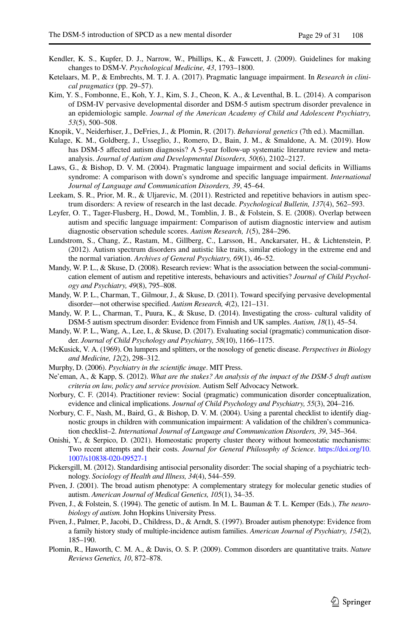- <span id="page-28-4"></span>Kendler, K. S., Kupfer, D. J., Narrow, W., Phillips, K., & Fawcett, J. (2009). Guidelines for making changes to DSM-V. *Psychological Medicine, 43*, 1793–1800.
- <span id="page-28-0"></span>Ketelaars, M. P., & Embrechts, M. T. J. A. (2017). Pragmatic language impairment. In *Research in clinical pragmatics* (pp. 29–57).
- <span id="page-28-16"></span>Kim, Y. S., Fombonne, E., Koh, Y. J., Kim, S. J., Cheon, K. A., & Leventhal, B. L. (2014). A comparison of DSM-IV pervasive developmental disorder and DSM-5 autism spectrum disorder prevalence in an epidemiologic sample. *Journal of the American Academy of Child and Adolescent Psychiatry, 53*(5), 500–508.
- <span id="page-28-19"></span>Knopik, V., Neiderhiser, J., DeFries, J., & Plomin, R. (2017). *Behavioral genetics* (7th ed.). Macmillan.
- <span id="page-28-2"></span>Kulage, K. M., Goldberg, J., Usseglio, J., Romero, D., Bain, J. M., & Smaldone, A. M. (2019). How has DSM-5 affected autism diagnosis? A 5-year follow-up systematic literature review and metaanalysis. *Journal of Autism and Developmental Disorders, 50*(6), 2102–2127.
- <span id="page-28-13"></span>Laws, G., & Bishop, D. V. M. (2004). Pragmatic language impairment and social defcits in Williams syndrome: A comparison with down's syndrome and specifc language impairment. *International Journal of Language and Communication Disorders, 39*, 45–64.
- <span id="page-28-12"></span>Leekam, S. R., Prior, M. R., & Uljarevic, M. (2011). Restricted and repetitive behaviors in autism spectrum disorders: A review of research in the last decade. *Psychological Bulletin, 137*(4), 562–593.
- <span id="page-28-1"></span>Leyfer, O. T., Tager-Flusberg, H., Dowd, M., Tomblin, J. B., & Folstein, S. E. (2008). Overlap between autism and specifc language impairment: Comparison of autism diagnostic interview and autism diagnostic observation schedule scores. *Autism Research, 1*(5), 284–296.
- <span id="page-28-18"></span>Lundstrom, S., Chang, Z., Rastam, M., Gillberg, C., Larsson, H., Anckarsater, H., & Lichtenstein, P. (2012). Autism spectrum disorders and autistic like traits, similar etiology in the extreme end and the normal variation. *Archives of General Psychiatry, 69*(1), 46–52.
- <span id="page-28-10"></span>Mandy, W. P. L., & Skuse, D. (2008). Research review: What is the association between the social-communication element of autism and repetitive interests, behaviours and activities? *Journal of Child Psychology and Psychiatry, 49*(8), 795–808.
- <span id="page-28-11"></span>Mandy, W. P. L., Charman, T., Gilmour, J., & Skuse, D. (2011). Toward specifying pervasive developmental disorder—not otherwise specifed. *Autism Research, 4*(2), 121–131.
- <span id="page-28-22"></span>Mandy, W. P. L., Charman, T., Puura, K., & Skuse, D. (2014). Investigating the cross- cultural validity of DSM-5 autism spectrum disorder: Evidence from Finnish and UK samples. *Autism, 18*(1), 45–54.
- <span id="page-28-21"></span>Mandy, W. P. L., Wang, A., Lee, I., & Skuse, D. (2017). Evaluating social (pragmatic) communication disorder. *Journal of Child Psychology and Psychiatry, 58*(10), 1166–1175.
- <span id="page-28-5"></span>McKusick, V. A. (1969). On lumpers and splitters, or the nosology of genetic disease. *Perspectives in Biology and Medicine, 12*(2), 298–312.
- <span id="page-28-6"></span>Murphy, D. (2006). *Psychiatry in the scientifc image*. MIT Press.
- <span id="page-28-15"></span>Ne'eman, A., & Kapp, S. (2012). *What are the stakes? An analysis of the impact of the DSM-5 draft autism criteria on law, policy and service provision*. Autism Self Advocacy Network.
- <span id="page-28-3"></span>Norbury, C. F. (2014). Practitioner review: Social (pragmatic) communication disorder conceptualization, evidence and clinical implications. *Journal of Child Psychology and Psychiatry, 55*(3), 204–216.
- <span id="page-28-14"></span>Norbury, C. F., Nash, M., Baird, G., & Bishop, D. V. M. (2004). Using a parental checklist to identify diagnostic groups in children with communication impairment: A validation of the children's communication checklist–2. *International Journal of Language and Communication Disorders, 39*, 345–364.
- <span id="page-28-23"></span>Onishi, Y., & Serpico, D. (2021). Homeostatic property cluster theory without homeostatic mechanisms: Two recent attempts and their costs. *Journal for General Philosophy of Science*. [https://doi.org/10.](https://doi.org/10.1007/s10838-020-09527-1) [1007/s10838-020-09527-1](https://doi.org/10.1007/s10838-020-09527-1)
- <span id="page-28-17"></span>Pickersgill, M. (2012). Standardising antisocial personality disorder: The social shaping of a psychiatric technology. *Sociology of Health and Illness, 34*(4), 544–559.
- <span id="page-28-7"></span>Piven, J. (2001). The broad autism phenotype: A complementary strategy for molecular genetic studies of autism. *American Journal of Medical Genetics, 105*(1), 34–35.
- <span id="page-28-9"></span>Piven, J., & Folstein, S. (1994). The genetic of autism. In M. L. Bauman & T. L. Kemper (Eds.), *The neurobiology of autism.* John Hopkins University Press.
- <span id="page-28-8"></span>Piven, J., Palmer, P., Jacobi, D., Childress, D., & Arndt, S. (1997). Broader autism phenotype: Evidence from a family history study of multiple-incidence autism families. *American Journal of Psychiatry, 154*(2), 185–190.
- <span id="page-28-20"></span>Plomin, R., Haworth, C. M. A., & Davis, O. S. P. (2009). Common disorders are quantitative traits. *Nature Reviews Genetics, 10*, 872–878.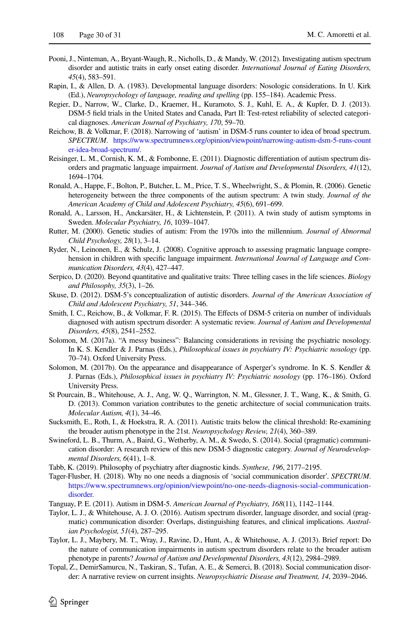- <span id="page-29-14"></span>Pooni, J., Ninteman, A., Bryant-Waugh, R., Nicholls, D., & Mandy, W. (2012). Investigating autism spectrum disorder and autistic traits in early onset eating disorder. *International Journal of Eating Disorders, 45*(4), 583–591.
- <span id="page-29-0"></span>Rapin, I., & Allen, D. A. (1983). Developmental language disorders: Nosologic considerations. In U. Kirk (Ed.), *Neuropsychology of language, reading and spelling* (pp. 155–184). Academic Press.
- <span id="page-29-2"></span>Regier, D., Narrow, W., Clarke, D., Kraemer, H., Kuramoto, S. J., Kuhl, E. A., & Kupfer, D. J. (2013). DSM-5 feld trials in the United States and Canada, Part II: Test-retest reliability of selected categorical diagnoses. *American Journal of Psychiatry, 170*, 59–70.
- <span id="page-29-4"></span>Reichow, B. & Volkmar, F. (2018). Narrowing of 'autism' in DSM-5 runs counter to idea of broad spectrum. *SPECTRUM*. [https://www.spectrumnews.org/opinion/viewpoint/narrowing-autism-dsm-5-runs-count](https://www.spectrumnews.org/opinion/viewpoint/narrowing-autism-dsm-5-runs-counter-idea-broad-spectrum/) [er-idea-broad-spectrum/](https://www.spectrumnews.org/opinion/viewpoint/narrowing-autism-dsm-5-runs-counter-idea-broad-spectrum/).
- <span id="page-29-7"></span>Reisinger, L. M., Cornish, K. M., & Fombonne, E. (2011). Diagnostic diferentiation of autism spectrum disorders and pragmatic language impairment. *Journal of Autism and Developmental Disorders, 41*(12), 1694–1704.
- <span id="page-29-15"></span>Ronald, A., Happe, F., Bolton, P., Butcher, L. M., Price, T. S., Wheelwright, S., & Plomin, R. (2006). Genetic heterogeneity between the three components of the autism spectrum: A twin study. *Journal of the American Academy of Child and Adolescent Psychiatry, 45*(6), 691–699.
- <span id="page-29-16"></span>Ronald, A., Larsson, H., Anckarsäter, H., & Lichtenstein, P. (2011). A twin study of autism symptoms in Sweden. *Molecular Psychiatry, 16*, 1039–1047.
- <span id="page-29-13"></span>Rutter, M. (2000). Genetic studies of autism: From the 1970s into the millennium. *Journal of Abnormal Child Psychology, 28*(1), 3–14.
- <span id="page-29-5"></span>Ryder, N., Leinonen, E., & Schulz, J. (2008). Cognitive approach to assessing pragmatic language comprehension in children with specifc language impairment. *International Journal of Language and Communication Disorders, 43*(4), 427–447.
- <span id="page-29-20"></span>Serpico, D. (2020). Beyond quantitative and qualitative traits: Three telling cases in the life sciences. *Biology and Philosophy, 35*(3), 1–26.
- <span id="page-29-9"></span>Skuse, D. (2012). DSM-5's conceptualization of autistic disorders. *Journal of the American Association of Child and Adolescent Psychiatry, 51*, 344–346.
- <span id="page-29-19"></span>Smith, I. C., Reichow, B., & Volkmar, F. R. (2015). The Efects of DSM-5 criteria on number of individuals diagnosed with autism spectrum disorder: A systematic review. *Journal of Autism and Developmental Disorders, 45*(8), 2541–2552.
- <span id="page-29-8"></span>Solomon, M. (2017a). "A messy business": Balancing considerations in revising the psychiatric nosology. In K. S. Kendler & J. Parnas (Eds.), *Philosophical issues in psychiatry IV: Psychiatric nosology* (pp. 70–74). Oxford University Press.
- <span id="page-29-1"></span>Solomon, M. (2017b). On the appearance and disappearance of Asperger's syndrome. In K. S. Kendler & J. Parnas (Eds.), *Philosophical issues in psychiatry IV: Psychiatric nosology* (pp. 176–186). Oxford University Press.
- <span id="page-29-17"></span>St Pourcain, B., Whitehouse, A. J., Ang, W. Q., Warrington, N. M., Glessner, J. T., Wang, K., & Smith, G. D. (2013). Common variation contributes to the genetic architecture of social communication traits. *Molecular Autism, 4*(1), 34–46.
- <span id="page-29-12"></span>Sucksmith, E., Roth, I., & Hoekstra, R. A. (2011). Autistic traits below the clinical threshold: Re-examining the broader autism phenotype in the 21st. *Neuropsychology Review, 21*(4), 360–389.
- <span id="page-29-3"></span>Swineford, L. B., Thurm, A., Baird, G., Wetherby, A. M., & Swedo, S. (2014). Social (pragmatic) communication disorder: A research review of this new DSM-5 diagnostic category. *Journal of Neurodevelopmental Disorders, 6*(41), 1–8.
- <span id="page-29-11"></span>Tabb, K. (2019). Philosophy of psychiatry after diagnostic kinds. *Synthese, 196*, 2177–2195.
- <span id="page-29-21"></span>Tager-Flusber, H. (2018). Why no one needs a diagnosis of 'social communication disorder'. *SPECTRUM*. [https://www.spectrumnews.org/opinion/viewpoint/no-one-needs-diagnosis-social-communication](https://www.spectrumnews.org/opinion/viewpoint/no-one-needs-diagnosis-social-communication-disorder)[disorder](https://www.spectrumnews.org/opinion/viewpoint/no-one-needs-diagnosis-social-communication-disorder).
- <span id="page-29-22"></span>Tanguay, P. E. (2011). Autism in DSM-5. *American Journal of Psychiatry, 168*(11), 1142–1144.
- <span id="page-29-6"></span>Taylor, L. J., & Whitehouse, A. J. O. (2016). Autism spectrum disorder, language disorder, and social (pragmatic) communication disorder: Overlaps, distinguishing features, and clinical implications. *Australian Psychologist, 51*(4), 287–295.
- <span id="page-29-10"></span>Taylor, L. J., Maybery, M. T., Wray, J., Ravine, D., Hunt, A., & Whitehouse, A. J. (2013). Brief report: Do the nature of communication impairments in autism spectrum disorders relate to the broader autism phenotype in parents? *Journal of Autism and Developmental Disorders, 43*(12), 2984–2989.
- <span id="page-29-18"></span>Topal, Z., DemirSamurcu, N., Taskiran, S., Tufan, A. E., & Semerci, B. (2018). Social communication disorder: A narrative review on current insights. *Neuropsychiatric Disease and Treatment, 14*, 2039–2046.